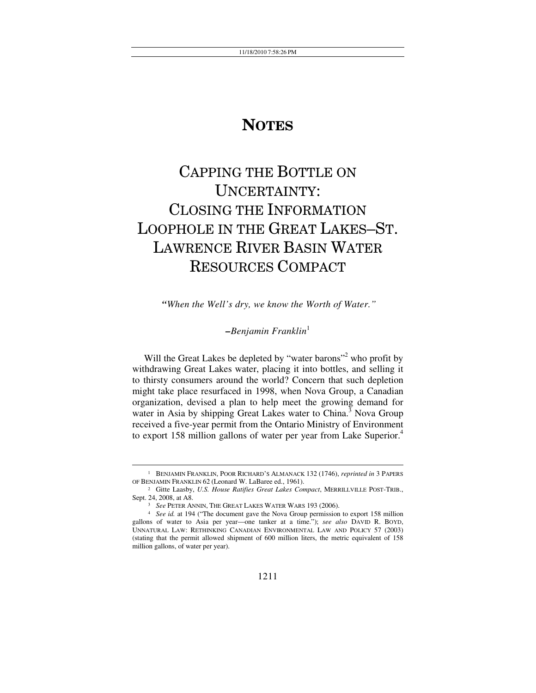## **NOTES**

# CAPPING THE BOTTLE ON UNCERTAINTY: CLOSING THE INFORMATION LOOPHOLE IN THE GREAT LAKES–ST. LAWRENCE RIVER BASIN WATER RESOURCES COMPACT

 *"When the Well's dry, we know the Worth of Water."*

## *–Benjamin Franklin*<sup>1</sup>

Will the Great Lakes be depleted by "water barons"<sup>2</sup> who profit by withdrawing Great Lakes water, placing it into bottles, and selling it to thirsty consumers around the world? Concern that such depletion might take place resurfaced in 1998, when Nova Group, a Canadian organization, devised a plan to help meet the growing demand for water in Asia by shipping Great Lakes water to  $China<sup>3</sup>$  Nova Group received a five-year permit from the Ontario Ministry of Environment to export 158 million gallons of water per year from Lake Superior.<sup>4</sup>

<sup>&</sup>lt;sup>1</sup> BENJAMIN FRANKLIN, POOR RICHARD'S ALMANACK 132 (1746), *reprinted in* 3 PAPERS OF BENJAMIN FRANKLIN 62 (Leonard W. LaBaree ed., 1961).

<sup>&</sup>lt;sup>2</sup> Gitte Laasby, *U.S. House Ratifies Great Lakes Compact*, MERRILLVILLE POST-TRIB., Sept. 24, 2008, at A8. 3 *See* PETER ANNIN, THE GREAT LAKES WATER WARS 193 (2006). 4 *See id.* at 194 ("The document gave the Nova Group permission to export 158 million

gallons of water to Asia per year—one tanker at a time."); *see also* DAVID R. BOYD, UNNATURAL LAW: RETHINKING CANADIAN ENVIRONMENTAL LAW AND POLICY 57 (2003) (stating that the permit allowed shipment of 600 million liters, the metric equivalent of 158 million gallons, of water per year).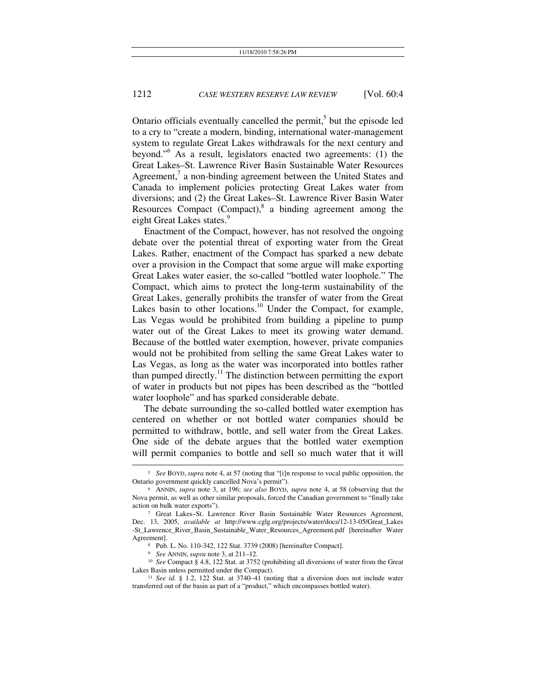Ontario officials eventually cancelled the permit,<sup>5</sup> but the episode led to a cry to "create a modern, binding, international water-management system to regulate Great Lakes withdrawals for the next century and beyond."<sup>6</sup> As a result, legislators enacted two agreements: (1) the Great Lakes–St. Lawrence River Basin Sustainable Water Resources Agreement, $\alpha$  a non-binding agreement between the United States and Canada to implement policies protecting Great Lakes water from diversions; and (2) the Great Lakes–St. Lawrence River Basin Water Resources Compact  $(Compact)^8$  a binding agreement among the eight Great Lakes states.<sup>9</sup>

Enactment of the Compact, however, has not resolved the ongoing debate over the potential threat of exporting water from the Great Lakes. Rather, enactment of the Compact has sparked a new debate over a provision in the Compact that some argue will make exporting Great Lakes water easier, the so-called "bottled water loophole." The Compact, which aims to protect the long-term sustainability of the Great Lakes, generally prohibits the transfer of water from the Great Lakes basin to other locations.<sup>10</sup> Under the Compact, for example, Las Vegas would be prohibited from building a pipeline to pump water out of the Great Lakes to meet its growing water demand. Because of the bottled water exemption, however, private companies would not be prohibited from selling the same Great Lakes water to Las Vegas, as long as the water was incorporated into bottles rather than pumped directly.<sup>11</sup> The distinction between permitting the export of water in products but not pipes has been described as the "bottled water loophole" and has sparked considerable debate.

The debate surrounding the so-called bottled water exemption has centered on whether or not bottled water companies should be permitted to withdraw, bottle, and sell water from the Great Lakes. One side of the debate argues that the bottled water exemption will permit companies to bottle and sell so much water that it will

<sup>9</sup> See ANNIN, *supra* note 3, at 211–12.<br><sup>10</sup> See Compact § 4.8, 122 Stat. at 3752 (prohibiting all diversions of water from the Great Lakes Basin unless permitted under the Compact).<br><sup>11</sup> See *id.* § 1.2, 122 Stat. at 3740–41 (noting that a diversion does not include water

 <sup>5</sup> *See* BOYD, *supra* note 4, at 57 (noting that "[i]n response to vocal public opposition, the Ontario government quickly cancelled Nova's permit"). 6 ANNIN, *supra* note 3, at 196; *see also* BOYD, *supra* note 4, at <sup>58</sup> (observing that the

Nova permit, as well as other similar proposals, forced the Canadian government to "finally take action on bulk water exports"). 7 Great Lakes–St. Lawrence River Basin Sustainable Water Resources Agreement,

Dec. 13, 2005, *available at* http://www.cglg.org/projects/water/docs/12-13-05/Great\_Lakes -St\_Lawrence\_River\_Basin\_Sustainable\_Water\_Resources\_Agreement.pdf [hereinafter Water

<sup>8</sup> Pub. L. No. 110-342, 122 Stat. 3739 (2008) [hereinafter Compact].

transferred out of the basin as part of a "product," which encompasses bottled water).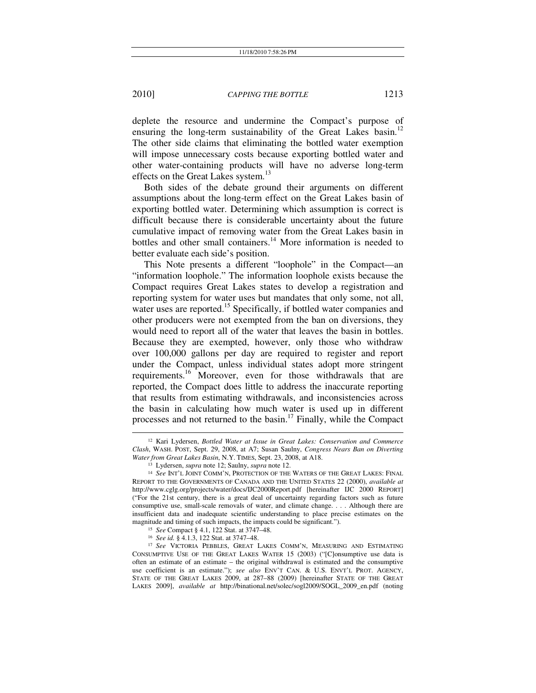deplete the resource and undermine the Compact's purpose of ensuring the long-term sustainability of the Great Lakes basin.<sup>12</sup> The other side claims that eliminating the bottled water exemption will impose unnecessary costs because exporting bottled water and other water-containing products will have no adverse long-term effects on the Great Lakes system.<sup>13</sup>

Both sides of the debate ground their arguments on different assumptions about the long-term effect on the Great Lakes basin of exporting bottled water. Determining which assumption is correct is difficult because there is considerable uncertainty about the future cumulative impact of removing water from the Great Lakes basin in bottles and other small containers.<sup>14</sup> More information is needed to better evaluate each side's position.

This Note presents a different "loophole" in the Compact—an "information loophole." The information loophole exists because the Compact requires Great Lakes states to develop a registration and reporting system for water uses but mandates that only some, not all, water uses are reported.<sup>15</sup> Specifically, if bottled water companies and other producers were not exempted from the ban on diversions, they would need to report all of the water that leaves the basin in bottles. Because they are exempted, however, only those who withdraw over 100,000 gallons per day are required to register and report under the Compact, unless individual states adopt more stringent requirements.<sup>16</sup> Moreover, even for those withdrawals that are reported, the Compact does little to address the inaccurate reporting that results from estimating withdrawals, and inconsistencies across the basin in calculating how much water is used up in different processes and not returned to the basin.<sup>17</sup> Finally, while the Compact

 <sup>12</sup> Kari Lydersen, *Bottled Water at Issue in Great Lakes: Conservation and Commerce Clash*, WASH. POST, Sept. 29, 2008, at A7; Susan Saulny, *Congress Nears Ban on Diverting Water from Great Lakes Basin*, N.Y. TIMES, Sept. 23, 2008, at A18.<br><sup>13</sup> Lydersen, *supra* note 12; Saulny, *supra* note 12.<br><sup>14</sup> See INT'L JOINT COMM'N, PROTECTION OF THE WATERS OF THE GREAT LAKES: FINAL

REPORT TO THE GOVERNMENTS OF CANADA AND THE UNITED STATES 22 (2000), *available at* http://www.cglg.org/projects/water/docs/IJC2000Report.pdf [hereinafter IJC 2000 REPORT] ("For the 21st century, there is a great deal of uncertainty regarding factors such as future consumptive use, small-scale removals of water, and climate change. . . . Although there are insufficient data and inadequate scientific understanding to place precise estimates on the magnitude and timing of such impacts, the impacts could be significant.").<br>
<sup>15</sup> See Compact § 4.1, 122 Stat. at 3747–48.<br>
<sup>16</sup> See id. § 4.1.3, 122 Stat. at 3747–48.<br>
<sup>17</sup> See VICTORIA PEBBLES, GREAT LAKES COMM'N, MEASURI

CONSUMPTIVE USE OF THE GREAT LAKES WATER 15 (2003) ("[C]onsumptive use data is often an estimate of an estimate – the original withdrawal is estimated and the consumptive use coefficient is an estimate."); *see also* ENV'T CAN. & U.S. ENVT'L PROT. AGENCY, STATE OF THE GREAT LAKES 2009, at 287–88 (2009) [hereinafter STATE OF THE GREAT LAKES 2009], *available at* http://binational.net/solec/sogl2009/SOGL\_2009\_en.pdf (noting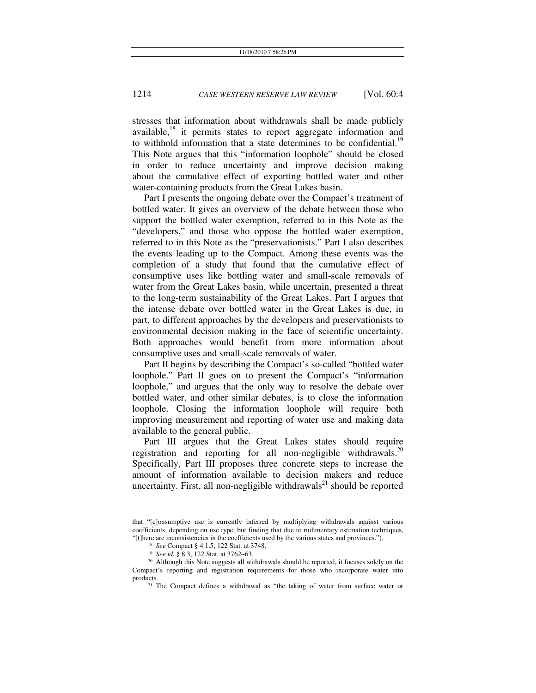stresses that information about withdrawals shall be made publicly available,  $18$  it permits states to report aggregate information and to withhold information that a state determines to be confidential.<sup>19</sup> This Note argues that this "information loophole" should be closed in order to reduce uncertainty and improve decision making about the cumulative effect of exporting bottled water and other water-containing products from the Great Lakes basin.

Part I presents the ongoing debate over the Compact's treatment of bottled water. It gives an overview of the debate between those who support the bottled water exemption, referred to in this Note as the "developers," and those who oppose the bottled water exemption, referred to in this Note as the "preservationists." Part I also describes the events leading up to the Compact. Among these events was the completion of a study that found that the cumulative effect of consumptive uses like bottling water and small-scale removals of water from the Great Lakes basin, while uncertain, presented a threat to the long-term sustainability of the Great Lakes. Part I argues that the intense debate over bottled water in the Great Lakes is due, in part, to different approaches by the developers and preservationists to environmental decision making in the face of scientific uncertainty. Both approaches would benefit from more information about consumptive uses and small-scale removals of water.

Part II begins by describing the Compact's so-called "bottled water loophole." Part II goes on to present the Compact's "information loophole," and argues that the only way to resolve the debate over bottled water, and other similar debates, is to close the information loophole. Closing the information loophole will require both improving measurement and reporting of water use and making data available to the general public.

Part III argues that the Great Lakes states should require registration and reporting for all non-negligible withdrawals.<sup>20</sup> Specifically, Part III proposes three concrete steps to increase the amount of information available to decision makers and reduce uncertainty. First, all non-negligible withdrawals<sup>21</sup> should be reported

 $\overline{a}$ 

that "[c]onsumptive use is currently inferred by multiplying withdrawals against various coefficients, depending on use type, but finding that due to rudimentary estimation techniques, "[t]here are inconsistencies in the coefficients used by the various states and provinces.").

<sup>&</sup>lt;sup>18</sup> See Compact § 4.1.5, 122 Stat. at 3748.<br><sup>19</sup> See id. § 8.3, 122 Stat. at 3762–63.<br><sup>20</sup> Although this Note suggests all withdrawals should be reported, it focuses solely on the Compact's reporting and registration requirements for those who incorporate water into

products. 21 The Compact defines a withdrawal as "the taking of water from surface water or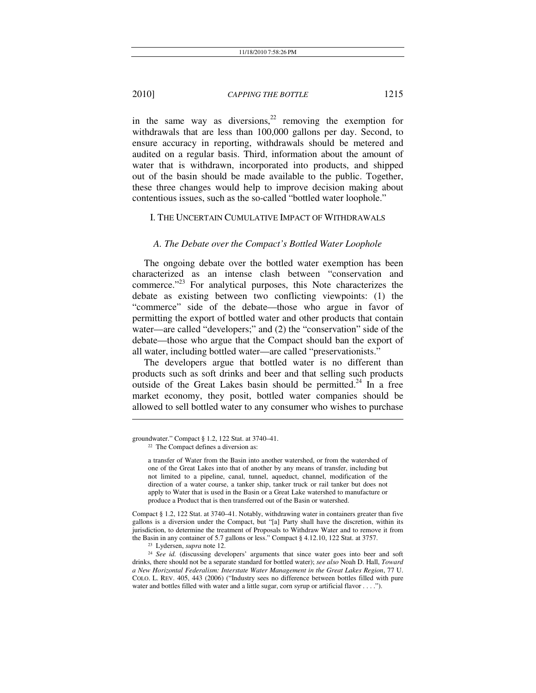in the same way as diversions,<sup>22</sup> removing the exemption for withdrawals that are less than 100,000 gallons per day. Second, to ensure accuracy in reporting, withdrawals should be metered and audited on a regular basis. Third, information about the amount of water that is withdrawn, incorporated into products, and shipped out of the basin should be made available to the public. Together, these three changes would help to improve decision making about contentious issues, such as the so-called "bottled water loophole."

#### I. THE UNCERTAIN CUMULATIVE IMPACT OF WITHDRAWALS

#### *A. The Debate over the Compact's Bottled Water Loophole*

The ongoing debate over the bottled water exemption has been characterized as an intense clash between "conservation and commerce."23 For analytical purposes, this Note characterizes the debate as existing between two conflicting viewpoints: (1) the "commerce" side of the debate—those who argue in favor of permitting the export of bottled water and other products that contain water—are called "developers;" and (2) the "conservation" side of the debate—those who argue that the Compact should ban the export of all water, including bottled water—are called "preservationists."

The developers argue that bottled water is no different than products such as soft drinks and beer and that selling such products outside of the Great Lakes basin should be permitted.<sup>24</sup> In a free market economy, they posit, bottled water companies should be allowed to sell bottled water to any consumer who wishes to purchase

 $\overline{\phantom{a}}$ 

Compact § 1.2, 122 Stat. at 3740–41. Notably, withdrawing water in containers greater than five gallons is a diversion under the Compact, but "[a] Party shall have the discretion, within its jurisdiction, to determine the treatment of Proposals to Withdraw Water and to remove it from the Basin in any container of 5.7 gallons or less." Compact § 4.12.10, 122 Stat. at 3757.

groundwater." Compact § 1.2, 122 Stat. at 3740–41.<br><sup>22</sup> The Compact defines a diversion as:

a transfer of Water from the Basin into another watershed, or from the watershed of one of the Great Lakes into that of another by any means of transfer, including but not limited to a pipeline, canal, tunnel, aqueduct, channel, modification of the direction of a water course, a tanker ship, tanker truck or rail tanker but does not apply to Water that is used in the Basin or a Great Lake watershed to manufacture or produce a Product that is then transferred out of the Basin or watershed.

<sup>&</sup>lt;sup>23</sup> Lydersen, *supra* note 12.<br><sup>24</sup> See id. (discussing developers' arguments that since water goes into beer and soft drinks, there should not be a separate standard for bottled water); *see also* Noah D. Hall, *Toward a New Horizontal Federalism: Interstate Water Management in the Great Lakes Region*, 77 U. COLO. L. REV. 405, 443 (2006) ("Industry sees no difference between bottles filled with pure water and bottles filled with water and a little sugar, corn syrup or artificial flavor . . . .").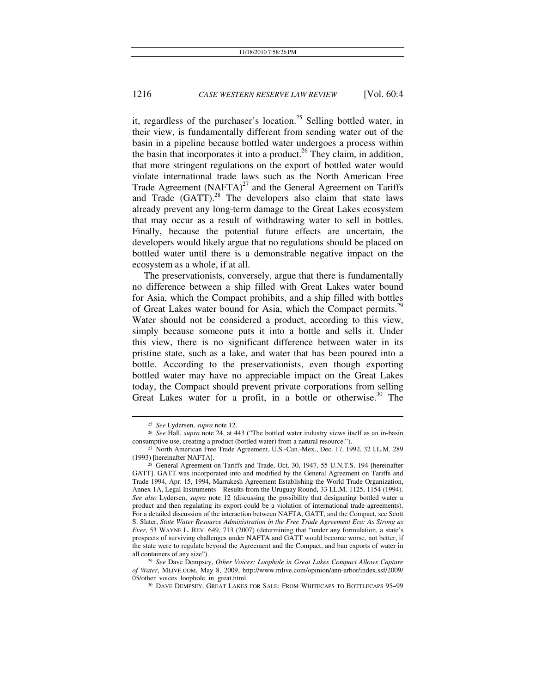it, regardless of the purchaser's location.<sup>25</sup> Selling bottled water, in their view, is fundamentally different from sending water out of the basin in a pipeline because bottled water undergoes a process within the basin that incorporates it into a product.<sup>26</sup> They claim, in addition, that more stringent regulations on the export of bottled water would violate international trade laws such as the North American Free Trade Agreement  $(NAFTA)^{27}$  and the General Agreement on Tariffs and Trade  $(GATT)$ .<sup>28</sup> The developers also claim that state laws already prevent any long-term damage to the Great Lakes ecosystem that may occur as a result of withdrawing water to sell in bottles. Finally, because the potential future effects are uncertain, the developers would likely argue that no regulations should be placed on bottled water until there is a demonstrable negative impact on the ecosystem as a whole, if at all.

The preservationists, conversely, argue that there is fundamentally no difference between a ship filled with Great Lakes water bound for Asia, which the Compact prohibits, and a ship filled with bottles of Great Lakes water bound for Asia, which the Compact permits.<sup>29</sup> Water should not be considered a product, according to this view, simply because someone puts it into a bottle and sells it. Under this view, there is no significant difference between water in its pristine state, such as a lake, and water that has been poured into a bottle. According to the preservationists, even though exporting bottled water may have no appreciable impact on the Great Lakes today, the Compact should prevent private corporations from selling Great Lakes water for a profit, in a bottle or otherwise. $30$  The

<sup>25</sup> *See* Lydersen, *supra* note 12. 26 *See* Hall, *supra* note 24, at 443 ("The bottled water industry views itself as an in-basin

consumptive use, creating a product (bottled water) from a natural resource.").<br><sup>27</sup> North American Free Trade Agreement, U.S.-Can.-Mex., Dec. 17, 1992, 32 I.L.M. 289<br>(1993) [hereinafter NAFTA].

<sup>&</sup>lt;sup>28</sup> General Agreement on Tariffs and Trade, Oct. 30, 1947, 55 U.N.T.S. 194 [hereinafter GATT]. GATT was incorporated into and modified by the General Agreement on Tariffs and Trade 1994, Apr. 15, 1994, Marrakesh Agreement Establishing the World Trade Organization, Annex 1A, Legal Instruments—Results from the Uruguay Round, 33 I.L.M. 1125, 1154 (1994). *See also* Lydersen, *supra* note 12 (discussing the possibility that designating bottled water a product and then regulating its export could be a violation of international trade agreements). For a detailed discussion of the interaction between NAFTA, GATT, and the Compact, see Scott S. Slater, *State Water Resource Administration in the Free Trade Agreement Era: As Strong as Ever*, 53 WAYNE L. REV. 649, 713 (2007) (determining that "under any formulation, a state's prospects of surviving challenges under NAFTA and GATT would become worse, not better, if the state were to regulate beyond the Agreement and the Compact, and ban exports of water in all containers of any size"). 29 *See* Dave Dempsey, *Other Voices: Loophole in Great Lakes Compact Allows Capture* 

*of Water*, MLIVE.COM, May 8, 2009, http://www.mlive.com/opinion/ann-arbor/index.ssf/2009/ 05/other\_voices\_loophole\_in\_great.html. 30 DAVE DEMPSEY, GREAT LAKES FOR SALE: FROM WHITECAPS TO BOTTLECAPS 95–99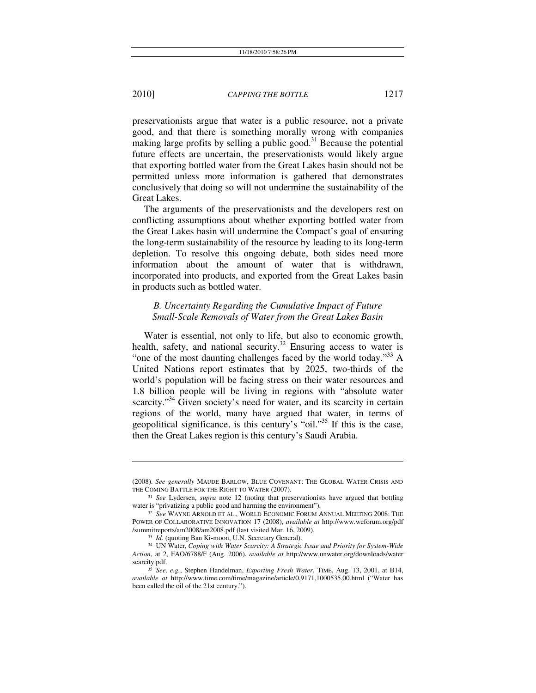l

#### 2010] *CAPPING THE BOTTLE* 1217

preservationists argue that water is a public resource, not a private good, and that there is something morally wrong with companies making large profits by selling a public good.<sup>31</sup> Because the potential future effects are uncertain, the preservationists would likely argue that exporting bottled water from the Great Lakes basin should not be permitted unless more information is gathered that demonstrates conclusively that doing so will not undermine the sustainability of the Great Lakes.

The arguments of the preservationists and the developers rest on conflicting assumptions about whether exporting bottled water from the Great Lakes basin will undermine the Compact's goal of ensuring the long-term sustainability of the resource by leading to its long-term depletion. To resolve this ongoing debate, both sides need more information about the amount of water that is withdrawn, incorporated into products, and exported from the Great Lakes basin in products such as bottled water.

## *B. Uncertainty Regarding the Cumulative Impact of Future Small-Scale Removals of Water from the Great Lakes Basin*

Water is essential, not only to life, but also to economic growth, health, safety, and national security.<sup>32</sup> Ensuring access to water is "one of the most daunting challenges faced by the world today."<sup>33</sup> A United Nations report estimates that by 2025, two-thirds of the world's population will be facing stress on their water resources and 1.8 billion people will be living in regions with "absolute water scarcity."<sup>34</sup> Given society's need for water, and its scarcity in certain regions of the world, many have argued that water, in terms of geopolitical significance, is this century's "oil."35 If this is the case, then the Great Lakes region is this century's Saudi Arabia.

<sup>(2008).</sup> *See generally* MAUDE BARLOW, BLUE COVENANT: THE GLOBAL WATER CRISIS AND

<sup>&</sup>lt;sup>31</sup> See Lydersen, *supra* note 12 (noting that preservationists have argued that bottling water is "privatizing a public good and harming the environment").

<sup>&</sup>lt;sup>32</sup> See WAYNE ARNOLD ET AL., WORLD ECONOMIC FORUM ANNUAL MEETING 2008: THE POWER OF COLLABORATIVE INNOVATION 17 (2008), *available at* http://www.weforum.org/pdf

<sup>&</sup>lt;sup>33</sup> Id. (quoting Ban Ki-moon, U.N. Secretary General). <sup>34</sup> UN Water, *Coping with Water Scarcity: A Strategic Issue and Priority for System-Wide Action*, at 2, FAO/6788/F (Aug. 2006), *available at* http://www.unwater.org/downloads/water scarcity.pdf. 35 *See, e.g.*, Stephen Handelman, *Exporting Fresh Water*, TIME, Aug. 13, 2001, at B14,

*available at* http://www.time.com/time/magazine/article/0,9171,1000535,00.html ("Water has been called the oil of the 21st century.").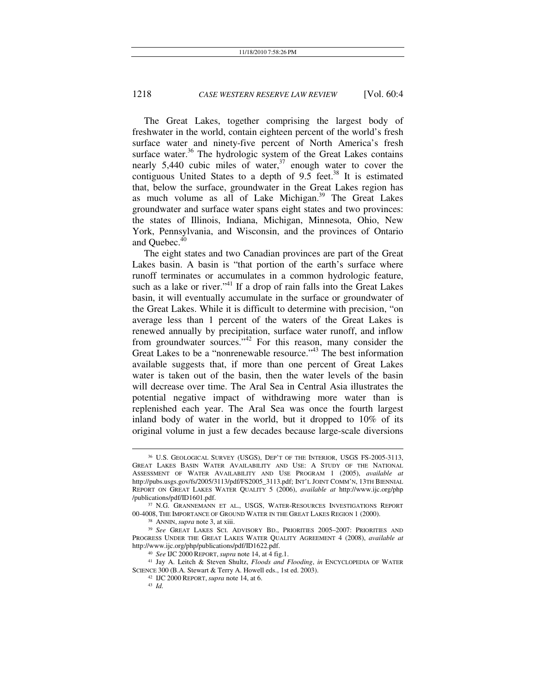The Great Lakes, together comprising the largest body of freshwater in the world, contain eighteen percent of the world's fresh surface water and ninety-five percent of North America's fresh surface water.<sup>36</sup> The hydrologic system of the Great Lakes contains nearly 5,440 cubic miles of water, $37$  enough water to cover the contiguous United States to a depth of  $9.5$  feet.<sup>38</sup> It is estimated that, below the surface, groundwater in the Great Lakes region has as much volume as all of Lake Michigan.<sup>39</sup> The Great Lakes groundwater and surface water spans eight states and two provinces: the states of Illinois, Indiana, Michigan, Minnesota, Ohio, New York, Pennsylvania, and Wisconsin, and the provinces of Ontario and Ouebec.<sup>40</sup>

The eight states and two Canadian provinces are part of the Great Lakes basin. A basin is "that portion of the earth's surface where runoff terminates or accumulates in a common hydrologic feature, such as a lake or river."<sup>41</sup> If a drop of rain falls into the Great Lakes basin, it will eventually accumulate in the surface or groundwater of the Great Lakes. While it is difficult to determine with precision, "on average less than 1 percent of the waters of the Great Lakes is renewed annually by precipitation, surface water runoff, and inflow from groundwater sources."42 For this reason, many consider the Great Lakes to be a "nonrenewable resource."<sup>43</sup> The best information available suggests that, if more than one percent of Great Lakes water is taken out of the basin, then the water levels of the basin will decrease over time. The Aral Sea in Central Asia illustrates the potential negative impact of withdrawing more water than is replenished each year. The Aral Sea was once the fourth largest inland body of water in the world, but it dropped to 10% of its original volume in just a few decades because large-scale diversions

 <sup>36</sup> U.S. GEOLOGICAL SURVEY (USGS), DEP'T OF THE INTERIOR, USGS FS-2005-3113, GREAT LAKES BASIN WATER AVAILABILITY AND USE: A STUDY OF THE NATIONAL ASSESSMENT OF WATER AVAILABILITY AND USE PROGRAM 1 (2005), *available at* http://pubs.usgs.gov/fs/2005/3113/pdf/FS2005\_3113.pdf; INT'L JOINT COMM'N, 13TH BIENNIAL REPORT ON GREAT LAKES WATER QUALITY 5 (2006), *available at* http://www.ijc.org/php

<sup>/</sup>publications/pdf/ID1601.pdf.<br><sup>37</sup> N.G. GRANNEMANN ET AL., USGS, WATER-RESOURCES INVESTIGATIONS REPORT<br>00-4008, THE IMPORTANCE OF GROUND WATER IN THE GREAT LAKES REGION 1 (2000).

<sup>&</sup>lt;sup>38</sup> ANNIN, *supra* note 3, at xiii.<br><sup>39</sup> See GREAT LAKES SCI. ADVISORY BD., PRIORITIES 2005–2007: PRIORITIES AND PROGRESS UNDER THE GREAT LAKES WATER QUALITY AGREEMENT 4 (2008), *available at*

<sup>&</sup>lt;sup>40</sup> See IJC 2000 REPORT, *supra* note 14, at 4 fig.1.<br><sup>41</sup> Jay A. Leitch & Steven Shultz, *Floods and Flooding*, *in* ENCYCLOPEDIA OF WATER SCIENCE 300 (B.A. Stewart & Terry A. Howell eds., 1st ed. 2003).

<sup>42</sup> IJC <sup>2000</sup> REPORT, *supra* note 14, at 6. 43 *Id.*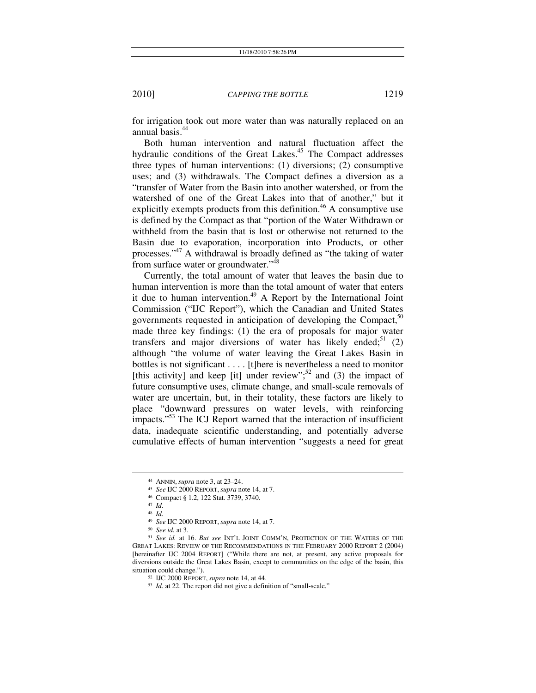for irrigation took out more water than was naturally replaced on an annual basis.44

Both human intervention and natural fluctuation affect the hydraulic conditions of the Great Lakes.<sup>45</sup> The Compact addresses three types of human interventions: (1) diversions; (2) consumptive uses; and (3) withdrawals. The Compact defines a diversion as a "transfer of Water from the Basin into another watershed, or from the watershed of one of the Great Lakes into that of another," but it explicitly exempts products from this definition.<sup>46</sup> A consumptive use is defined by the Compact as that "portion of the Water Withdrawn or withheld from the basin that is lost or otherwise not returned to the Basin due to evaporation, incorporation into Products, or other processes."47 A withdrawal is broadly defined as "the taking of water from surface water or groundwater."<sup>48</sup>

Currently, the total amount of water that leaves the basin due to human intervention is more than the total amount of water that enters it due to human intervention. $49$  A Report by the International Joint Commission ("IJC Report"), which the Canadian and United States governments requested in anticipation of developing the Compact,  $50$ made three key findings: (1) the era of proposals for major water transfers and major diversions of water has likely ended;<sup>51</sup> (2) although "the volume of water leaving the Great Lakes Basin in bottles is not significant . . . . [t]here is nevertheless a need to monitor [this activity] and keep [it] under review";<sup>52</sup> and (3) the impact of future consumptive uses, climate change, and small-scale removals of water are uncertain, but, in their totality, these factors are likely to place "downward pressures on water levels, with reinforcing impacts."53 The ICJ Report warned that the interaction of insufficient data, inadequate scientific understanding, and potentially adverse cumulative effects of human intervention "suggests a need for great

<sup>&</sup>lt;sup>44</sup> ANNIN, *supra* note 3, at 23–24.<br><sup>45</sup> *See* IJC 2000 REPORT, *supra* note 14, at 7.<br><sup>46</sup> Compact § 1.2, 122 Stat. 3739, 3740.<br><sup>47</sup> *Id.*<br><sup>48</sup> *Id.*<br><sup>49</sup> *See* IJC 2000 REPORT, *supra* note 14, at 7.<br><sup>50</sup> *See* id. at GREAT LAKES: REVIEW OF THE RECOMMENDATIONS IN THE FEBRUARY 2000 REPORT 2 (2004) [hereinafter IJC 2004 REPORT] ("While there are not, at present, any active proposals for diversions outside the Great Lakes Basin, except to communities on the edge of the basin, this situation could change."). 52 IJC 2000 REPORT, *supra* note 14, at 44. 53 *Id.* at 22. The report did not give a definition of "small-scale."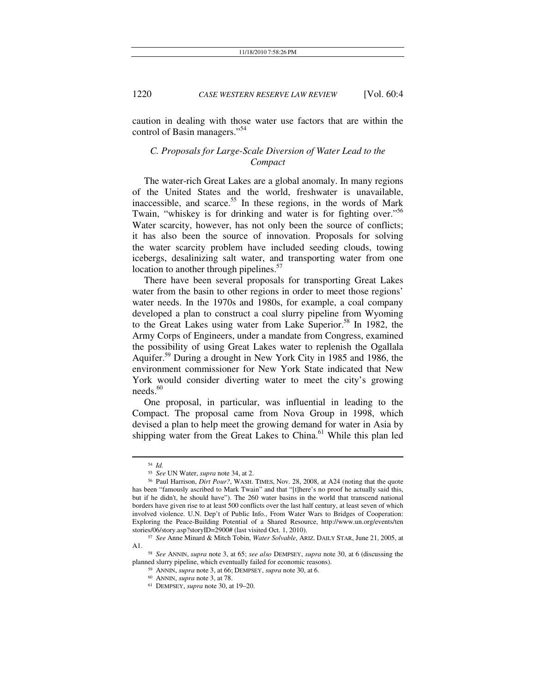caution in dealing with those water use factors that are within the control of Basin managers."<sup>54</sup>

## *C. Proposals for Large-Scale Diversion of Water Lead to the Compact*

The water-rich Great Lakes are a global anomaly. In many regions of the United States and the world, freshwater is unavailable, inaccessible, and scarce.<sup>55</sup> In these regions, in the words of Mark Twain, "whiskey is for drinking and water is for fighting over."<sup>56</sup> Water scarcity, however, has not only been the source of conflicts; it has also been the source of innovation. Proposals for solving the water scarcity problem have included seeding clouds, towing icebergs, desalinizing salt water, and transporting water from one location to another through pipelines.<sup>57</sup>

There have been several proposals for transporting Great Lakes water from the basin to other regions in order to meet those regions' water needs. In the 1970s and 1980s, for example, a coal company developed a plan to construct a coal slurry pipeline from Wyoming to the Great Lakes using water from Lake Superior.<sup>58</sup> In 1982, the Army Corps of Engineers, under a mandate from Congress, examined the possibility of using Great Lakes water to replenish the Ogallala Aquifer.59 During a drought in New York City in 1985 and 1986, the environment commissioner for New York State indicated that New York would consider diverting water to meet the city's growing  $needs.<sup>60</sup>$ 

One proposal, in particular, was influential in leading to the Compact. The proposal came from Nova Group in 1998, which devised a plan to help meet the growing demand for water in Asia by shipping water from the Great Lakes to China.<sup>61</sup> While this plan led

<sup>54</sup> *Id.* 55 *See* UN Water, *supra* note 34, at 2. 56 Paul Harrison, *Dirt Pour?*, WASH. TIMES, Nov. 28, 2008, at A24 (noting that the quote has been "famously ascribed to Mark Twain" and that "[t]here's no proof he actually said this, but if he didn't, he should have"). The 260 water basins in the world that transcend national borders have given rise to at least 500 conflicts over the last half century, at least seven of which involved violence. U.N. Dep't of Public Info., From Water Wars to Bridges of Cooperation: Exploring the Peace-Building Potential of a Shared Resource, http://www.un.org/events/ten stories/06/story.asp?storyID=2900# (last visited Oct. 1, 2010). 57 *See* Anne Minard & Mitch Tobin, *Water Solvable*, ARIZ. DAILY STAR, June 21, 2005, at

A1. 58 *See* ANNIN, *supra* note 3, at 65; *see also* DEMPSEY, *supra* note 30, at 6 (discussing the

planned slurry pipeline, which eventually failed for economic reasons). 59 ANNIN, *supra* note 3, at 66; DEMPSEY, *supra* note 30, at 6.

<sup>&</sup>lt;sup>61</sup> DEMPSEY, *supra* note 30, at 19–20.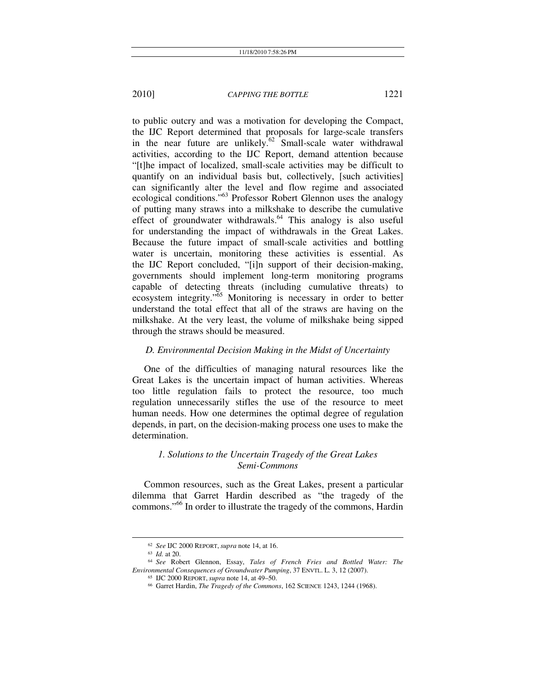to public outcry and was a motivation for developing the Compact, the IJC Report determined that proposals for large-scale transfers in the near future are unlikely.<sup>62</sup> Small-scale water withdrawal activities, according to the IJC Report, demand attention because "[t]he impact of localized, small-scale activities may be difficult to quantify on an individual basis but, collectively, [such activities] can significantly alter the level and flow regime and associated ecological conditions."63 Professor Robert Glennon uses the analogy of putting many straws into a milkshake to describe the cumulative effect of groundwater withdrawals. $64$  This analogy is also useful for understanding the impact of withdrawals in the Great Lakes. Because the future impact of small-scale activities and bottling water is uncertain, monitoring these activities is essential. As the IJC Report concluded, "[i]n support of their decision-making, governments should implement long-term monitoring programs capable of detecting threats (including cumulative threats) to ecosystem integrity."65 Monitoring is necessary in order to better understand the total effect that all of the straws are having on the milkshake. At the very least, the volume of milkshake being sipped through the straws should be measured.

#### *D. Environmental Decision Making in the Midst of Uncertainty*

One of the difficulties of managing natural resources like the Great Lakes is the uncertain impact of human activities. Whereas too little regulation fails to protect the resource, too much regulation unnecessarily stifles the use of the resource to meet human needs. How one determines the optimal degree of regulation depends, in part, on the decision-making process one uses to make the determination.

## *1. Solutions to the Uncertain Tragedy of the Great Lakes Semi-Commons*

Common resources, such as the Great Lakes, present a particular dilemma that Garret Hardin described as "the tragedy of the commons."66 In order to illustrate the tragedy of the commons, Hardin

<sup>62</sup> *See* IJC 2000 REPORT, *supra* note 14, at 16. 63 *Id.* at 20. 64 *See* Robert Glennon, Essay, *Tales of French Fries and Bottled Water: The Environmental Consequences of Groundwater Pumping*, 37 ENVTL. L. 3, 12 (2007). 65 IJC 2000 REPORT, *supra* note 14, at 49–50. 66 Garret Hardin, *The Tragedy of the Commons*, 162 SCIENCE 1243, 1244 (1968).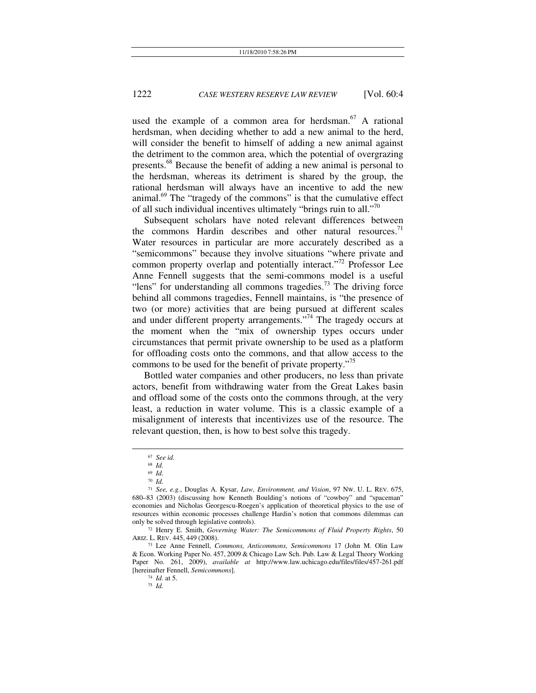used the example of a common area for herdsman.<sup>67</sup> A rational herdsman, when deciding whether to add a new animal to the herd, will consider the benefit to himself of adding a new animal against the detriment to the common area, which the potential of overgrazing presents.68 Because the benefit of adding a new animal is personal to the herdsman, whereas its detriment is shared by the group, the rational herdsman will always have an incentive to add the new animal. $69$  The "tragedy of the commons" is that the cumulative effect of all such individual incentives ultimately "brings ruin to all."<sup>70</sup>

Subsequent scholars have noted relevant differences between the commons Hardin describes and other natural resources.<sup>71</sup> Water resources in particular are more accurately described as a "semicommons" because they involve situations "where private and common property overlap and potentially interact."<sup>72</sup> Professor Lee Anne Fennell suggests that the semi-commons model is a useful "lens" for understanding all commons tragedies. $^{73}$  The driving force behind all commons tragedies, Fennell maintains, is "the presence of two (or more) activities that are being pursued at different scales and under different property arrangements."<sup>74</sup> The tragedy occurs at the moment when the "mix of ownership types occurs under circumstances that permit private ownership to be used as a platform for offloading costs onto the commons, and that allow access to the commons to be used for the benefit of private property."<sup>75</sup>

Bottled water companies and other producers, no less than private actors, benefit from withdrawing water from the Great Lakes basin and offload some of the costs onto the commons through, at the very least, a reduction in water volume. This is a classic example of a misalignment of interests that incentivizes use of the resource. The relevant question, then, is how to best solve this tragedy.

<sup>67</sup> *See id.*<sup>68</sup> *Id.*

<sup>69</sup> *Id*. 70 *Id.* 

<sup>71</sup> *See, e.g.*, Douglas A. Kysar, *Law, Environment, and Vision*, 97 NW. U. L. REV. 675, 680–83 (2003) (discussing how Kenneth Boulding's notions of "cowboy" and "spaceman" economies and Nicholas Georgescu-Roegen's application of theoretical physics to the use of resources within economic processes challenge Hardin's notion that commons dilemmas can only be solved through legislative controls). 72 Henry E. Smith, *Governing Water: The Semicommons of Fluid Property Rights*, 50

ARIZ. L. REV. 445, 449 (2008).

<sup>73</sup> Lee Anne Fennell, *Commons, Anticommons, Semicommons* 17 (John M. Olin Law & Econ. Working Paper No. 457, 2009 & Chicago Law Sch. Pub. Law & Legal Theory Working Paper No. 261, 2009), *available at* http://www.law.uchicago.edu/files/files/457-261.pdf [hereinafter Fennell, *Semicommons*]. 74 *Id.* at 5. 75 *Id.*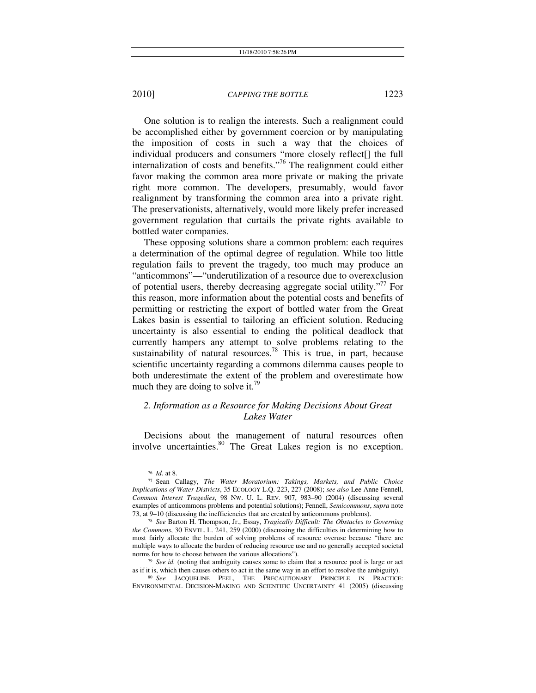One solution is to realign the interests. Such a realignment could be accomplished either by government coercion or by manipulating the imposition of costs in such a way that the choices of individual producers and consumers "more closely reflect[] the full internalization of costs and benefits. $\frac{1}{6}$  The realignment could either favor making the common area more private or making the private right more common. The developers, presumably, would favor realignment by transforming the common area into a private right. The preservationists, alternatively, would more likely prefer increased government regulation that curtails the private rights available to bottled water companies.

These opposing solutions share a common problem: each requires a determination of the optimal degree of regulation. While too little regulation fails to prevent the tragedy, too much may produce an "anticommons"—"underutilization of a resource due to overexclusion of potential users, thereby decreasing aggregate social utility. $177$  For this reason, more information about the potential costs and benefits of permitting or restricting the export of bottled water from the Great Lakes basin is essential to tailoring an efficient solution. Reducing uncertainty is also essential to ending the political deadlock that currently hampers any attempt to solve problems relating to the sustainability of natural resources.<sup>78</sup> This is true, in part, because scientific uncertainty regarding a commons dilemma causes people to both underestimate the extent of the problem and overestimate how much they are doing to solve it.<sup>79</sup>

## *2. Information as a Resource for Making Decisions About Great Lakes Water*

Decisions about the management of natural resources often involve uncertainties.<sup>80</sup> The Great Lakes region is no exception.

<sup>76</sup> *Id.* at 8. 77 Sean Callagy, *The Water Moratorium: Takings, Markets, and Public Choice Implications of Water Districts*, 35 ECOLOGY L.Q. 223, 227 (2008); *see also* Lee Anne Fennell, *Common Interest Tragedies*, 98 NW. U. L. REV. 907, 983–90 (2004) (discussing several examples of anticommons problems and potential solutions); Fennell, *Semicommons*, *supra* note

<sup>&</sup>lt;sup>78</sup> See Barton H. Thompson, Jr., Essay, *Tragically Difficult: The Obstacles to Governing the Commons*, 30 ENVTL. L. 241, 259 (2000) (discussing the difficulties in determining how to most fairly allocate the burden of solving problems of resource overuse because "there are multiple ways to allocate the burden of reducing resource use and no generally accepted societal norms for how to choose between the various allocations").<br><sup>79</sup> See id. (noting that ambiguity causes some to claim that a resource pool is large or act

as if it is, which then causes others to act in the same way in an effort to resolve the ambiguity). 80 *See* JACQUELINE PEEL, THE PRECAUTIONARY PRINCIPLE IN PRACTICE:

ENVIRONMENTAL DECISION-MAKING AND SCIENTIFIC UNCERTAINTY 41 (2005) (discussing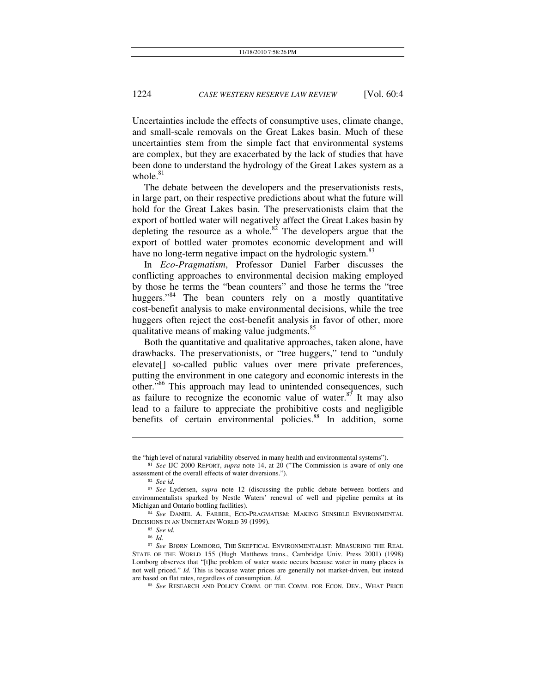Uncertainties include the effects of consumptive uses, climate change, and small-scale removals on the Great Lakes basin. Much of these uncertainties stem from the simple fact that environmental systems are complex, but they are exacerbated by the lack of studies that have been done to understand the hydrology of the Great Lakes system as a whole  $81$ 

The debate between the developers and the preservationists rests, in large part, on their respective predictions about what the future will hold for the Great Lakes basin. The preservationists claim that the export of bottled water will negatively affect the Great Lakes basin by depleting the resource as a whole.<sup>82</sup> The developers argue that the export of bottled water promotes economic development and will have no long-term negative impact on the hydrologic system.<sup>83</sup>

In *Eco-Pragmatism*, Professor Daniel Farber discusses the conflicting approaches to environmental decision making employed by those he terms the "bean counters" and those he terms the "tree huggers."<sup>84</sup> The bean counters rely on a mostly quantitative cost-benefit analysis to make environmental decisions, while the tree huggers often reject the cost-benefit analysis in favor of other, more qualitative means of making value judgments.<sup>85</sup>

Both the quantitative and qualitative approaches, taken alone, have drawbacks. The preservationists, or "tree huggers," tend to "unduly elevate[] so-called public values over mere private preferences, putting the environment in one category and economic interests in the other."86 This approach may lead to unintended consequences, such as failure to recognize the economic value of water. $87$  It may also lead to a failure to appreciate the prohibitive costs and negligible benefits of certain environmental policies.<sup>88</sup> In addition, some

l

the "high level of natural variability observed in many health and environmental systems").<br><sup>81</sup> *See* IJC 2000 REPORT, *supra* note 14, at 20 ("The Commission is aware of only one assessment of the overall effects of wate

<sup>&</sup>lt;sup>82</sup> See id.<br><sup>83</sup> See Lydersen, *supra* note 12 (discussing the public debate between bottlers and environmentalists sparked by Nestle Waters' renewal of well and pipeline permits at its Michigan and Ontario bottling facilities).

 $^{84}$   $See$  DANIEL A. FARBER, ECO-PRAGMATISM: MAKING SENSIBLE ENVIRONMENTAL DECISIONS IN AN UNCERTAIN WORLD 39 (1999).

<sup>&</sup>lt;sup>85</sup> See id.<br><sup>86</sup> Id.<br><sup>87</sup> See BJØRN LOMBORG, THE SKEPTICAL ENVIRONMENTALIST: MEASURING THE REAL STATE OF THE WORLD 155 (Hugh Matthews trans., Cambridge Univ. Press 2001) (1998) Lomborg observes that "[t]he problem of water waste occurs because water in many places is not well priced." *Id.* This is because water prices are generally not market-driven, but instead are based on flat rates, regardless of consumption. *Id.*

<sup>88</sup> *See* RESEARCH AND POLICY COMM. OF THE COMM. FOR ECON. DEV., WHAT PRICE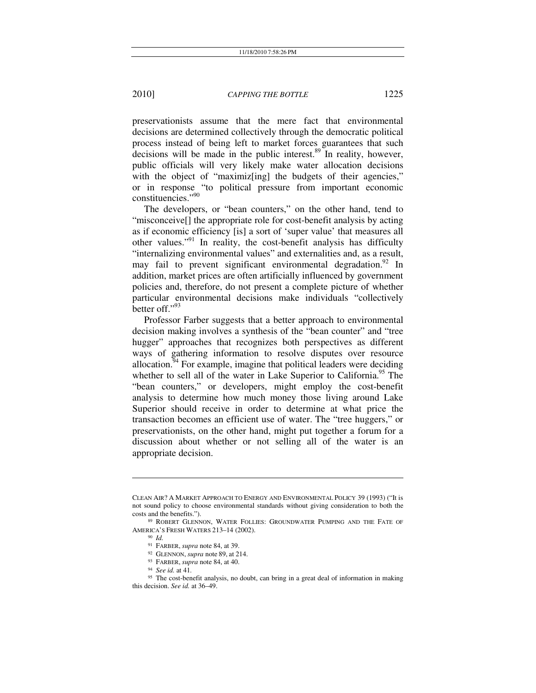preservationists assume that the mere fact that environmental decisions are determined collectively through the democratic political process instead of being left to market forces guarantees that such decisions will be made in the public interest.<sup>89</sup> In reality, however, public officials will very likely make water allocation decisions with the object of "maximiz<sup>[ing]</sup> the budgets of their agencies," or in response "to political pressure from important economic constituencies."<sup>90</sup>

The developers, or "bean counters," on the other hand, tend to "misconceive[] the appropriate role for cost-benefit analysis by acting as if economic efficiency [is] a sort of 'super value' that measures all other values."91 In reality, the cost-benefit analysis has difficulty "internalizing environmental values" and externalities and, as a result, may fail to prevent significant environmental degradation.<sup>92</sup> In addition, market prices are often artificially influenced by government policies and, therefore, do not present a complete picture of whether particular environmental decisions make individuals "collectively better off."93

Professor Farber suggests that a better approach to environmental decision making involves a synthesis of the "bean counter" and "tree hugger" approaches that recognizes both perspectives as different ways of gathering information to resolve disputes over resource allocation. $94$  For example, imagine that political leaders were deciding whether to sell all of the water in Lake Superior to California.<sup>95</sup> The "bean counters," or developers, might employ the cost-benefit analysis to determine how much money those living around Lake Superior should receive in order to determine at what price the transaction becomes an efficient use of water. The "tree huggers," or preservationists, on the other hand, might put together a forum for a discussion about whether or not selling all of the water is an appropriate decision.

 $\overline{\phantom{a}}$ 

CLEAN AIR? A MARKET APPROACH TO ENERGY AND ENVIRONMENTAL POLICY 39 (1993) ("It is not sound policy to choose environmental standards without giving consideration to both the costs and the benefits.")

<sup>89</sup> ROBERT GLENNON, WATER FOLLIES: GROUNDWATER PUMPING AND THE FATE OF AMERICA'S FRESH WATERS 213–14 (2002).<br><sup>90</sup> *Id.*<br><sup>91</sup> FARBER, *supra* note 84, at 39.

<sup>&</sup>lt;sup>92</sup> GLENNON, *supra* note 89, at 214.<br><sup>93</sup> FARBER, *supra* note 84, at 40.<br><sup>94</sup> *See id.* at 41.<br><sup>95</sup> The cost-benefit analysis, no doubt, can bring in a great deal of information in making this decision. *See id.* at 36–49.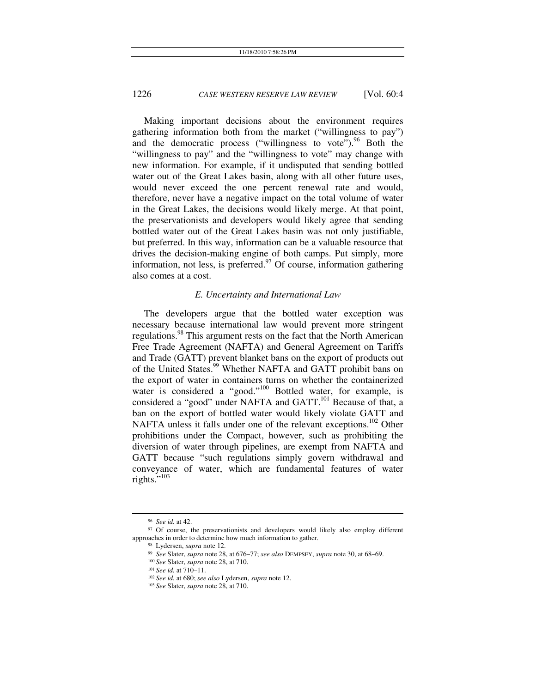Making important decisions about the environment requires gathering information both from the market ("willingness to pay") and the democratic process ("willingness to vote"). <sup>96</sup> Both the "willingness to pay" and the "willingness to vote" may change with new information. For example, if it undisputed that sending bottled water out of the Great Lakes basin, along with all other future uses, would never exceed the one percent renewal rate and would, therefore, never have a negative impact on the total volume of water in the Great Lakes, the decisions would likely merge. At that point, the preservationists and developers would likely agree that sending bottled water out of the Great Lakes basin was not only justifiable, but preferred. In this way, information can be a valuable resource that drives the decision-making engine of both camps. Put simply, more information, not less, is preferred. $97$  Of course, information gathering also comes at a cost.

#### *E. Uncertainty and International Law*

The developers argue that the bottled water exception was necessary because international law would prevent more stringent regulations.<sup>98</sup> This argument rests on the fact that the North American Free Trade Agreement (NAFTA) and General Agreement on Tariffs and Trade (GATT) prevent blanket bans on the export of products out of the United States.<sup>99</sup> Whether NAFTA and GATT prohibit bans on the export of water in containers turns on whether the containerized water is considered a "good."<sup>100</sup> Bottled water, for example, is considered a "good" under NAFTA and GATT.<sup>101</sup> Because of that, a ban on the export of bottled water would likely violate GATT and NAFTA unless it falls under one of the relevant exceptions.<sup>102</sup> Other prohibitions under the Compact, however, such as prohibiting the diversion of water through pipelines, are exempt from NAFTA and GATT because "such regulations simply govern withdrawal and conveyance of water, which are fundamental features of water rights."<sup>103</sup>

<sup>&</sup>lt;sup>96</sup> See id. at 42.<br><sup>97</sup> Of course, the preservationists and developers would likely also employ different approaches in order to determine how much information to gather.

<sup>&</sup>lt;sup>98</sup> Lydersen, *supra* note 12.<br><sup>99</sup> *See* Slater, *supra* note 28, at 676–77; *see also* DEMPSEY, *supra* note 30, at 68–69.<br><sup>100</sup> *See* Slater, *supra* note 28, at 710.<br><sup>101</sup> *See id.* at 710–11.

<sup>102</sup> *See id.* at 680; *see also* Lydersen, *supra* note 12. 103 *See* Slater, *supra* note 28, at 710.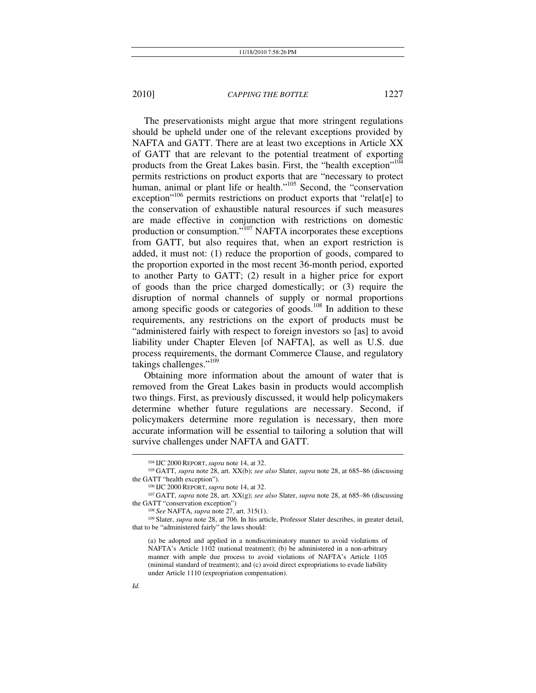The preservationists might argue that more stringent regulations should be upheld under one of the relevant exceptions provided by NAFTA and GATT. There are at least two exceptions in Article XX of GATT that are relevant to the potential treatment of exporting products from the Great Lakes basin. First, the "health exception"<sup>104</sup> permits restrictions on product exports that are "necessary to protect human, animal or plant life or health."<sup>105</sup> Second, the "conservation" exception<sup>"106</sup> permits restrictions on product exports that "relat[e] to the conservation of exhaustible natural resources if such measures are made effective in conjunction with restrictions on domestic production or consumption."107 NAFTA incorporates these exceptions from GATT, but also requires that, when an export restriction is added, it must not: (1) reduce the proportion of goods, compared to the proportion exported in the most recent 36-month period, exported to another Party to GATT; (2) result in a higher price for export of goods than the price charged domestically; or (3) require the disruption of normal channels of supply or normal proportions among specific goods or categories of goods.<sup>108</sup> In addition to these requirements, any restrictions on the export of products must be "administered fairly with respect to foreign investors so [as] to avoid liability under Chapter Eleven [of NAFTA], as well as U.S. due process requirements, the dormant Commerce Clause, and regulatory takings challenges."<sup>109</sup>

Obtaining more information about the amount of water that is removed from the Great Lakes basin in products would accomplish two things. First, as previously discussed, it would help policymakers determine whether future regulations are necessary. Second, if policymakers determine more regulation is necessary, then more accurate information will be essential to tailoring a solution that will survive challenges under NAFTA and GATT.

*Id.* 

<sup>&</sup>lt;sup>104</sup> IJC 2000 REPORT, *supra* note 14, at 32.<br><sup>105</sup> GATT, *supra* note 28, art. XX(b); *see also* Slater, *supra* note 28, at 685–86 (discussing

the GATT "health exception").<br><sup>106</sup> IJC 2000 REPORT, *supra* note 14, at 32.<br><sup>107</sup> GATT, *supra* note 28, art. XX(g); *see also* Slater, *supra* note 28, at 685–86 (discussing the GATT "conservation exception")<br><sup>108</sup> See NAFTA, *supra* note 27, art. 315(1).<br><sup>109</sup> Slater, *supra* note 28, at 706. In his article, Professor Slater describes, in greater detail,

that to be "administered fairly" the laws should:

<sup>(</sup>a) be adopted and applied in a nondiscriminatory manner to avoid violations of NAFTA's Article 1102 (national treatment); (b) be administered in a non-arbitrary manner with ample due process to avoid violations of NAFTA's Article 1105 (minimal standard of treatment); and (c) avoid direct expropriations to evade liability under Article 1110 (expropriation compensation).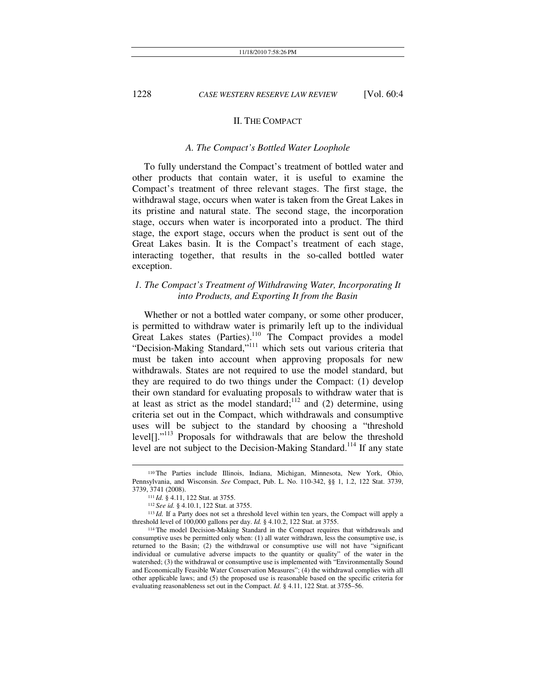#### II. THE COMPACT

#### *A. The Compact's Bottled Water Loophole*

To fully understand the Compact's treatment of bottled water and other products that contain water, it is useful to examine the Compact's treatment of three relevant stages. The first stage, the withdrawal stage, occurs when water is taken from the Great Lakes in its pristine and natural state. The second stage, the incorporation stage, occurs when water is incorporated into a product. The third stage, the export stage, occurs when the product is sent out of the Great Lakes basin. It is the Compact's treatment of each stage, interacting together, that results in the so-called bottled water exception.

## *1. The Compact's Treatment of Withdrawing Water, Incorporating It into Products, and Exporting It from the Basin*

Whether or not a bottled water company, or some other producer, is permitted to withdraw water is primarily left up to the individual Great Lakes states (Parties).<sup>110</sup> The Compact provides a model "Decision-Making Standard,"111 which sets out various criteria that must be taken into account when approving proposals for new withdrawals. States are not required to use the model standard, but they are required to do two things under the Compact: (1) develop their own standard for evaluating proposals to withdraw water that is at least as strict as the model standard; $112$  and (2) determine, using criteria set out in the Compact, which withdrawals and consumptive uses will be subject to the standard by choosing a "threshold level[]."<sup>113</sup> Proposals for withdrawals that are below the threshold level are not subject to the Decision-Making Standard.<sup>114</sup> If any state

 <sup>110</sup> The Parties include Illinois, Indiana, Michigan, Minnesota, New York, Ohio, Pennsylvania, and Wisconsin. *See* Compact, Pub. L. No. 110-342, §§ 1, 1.2, 122 Stat. 3739, 3739, 3741 (2008). 111 *Id.* § 4.11, 122 Stat. at 3755. 112 *See id.* § 4.10.1, 122 Stat. at 3755. 113 *Id.* If a Party does not set a threshold level within ten years, the Compact will apply a

threshold level of 100,000 gallons per day. *Id.* § 4.10.2, 122 Stat. at 3755.<br><sup>114</sup> The model Decision-Making Standard in the Compact requires that withdrawals and

consumptive uses be permitted only when: (1) all water withdrawn, less the consumptive use, is returned to the Basin; (2) the withdrawal or consumptive use will not have "significant individual or cumulative adverse impacts to the quantity or quality" of the water in the watershed; (3) the withdrawal or consumptive use is implemented with "Environmentally Sound and Economically Feasible Water Conservation Measures"; (4) the withdrawal complies with all other applicable laws; and (5) the proposed use is reasonable based on the specific criteria for evaluating reasonableness set out in the Compact. *Id.* § 4.11, 122 Stat. at 3755–56.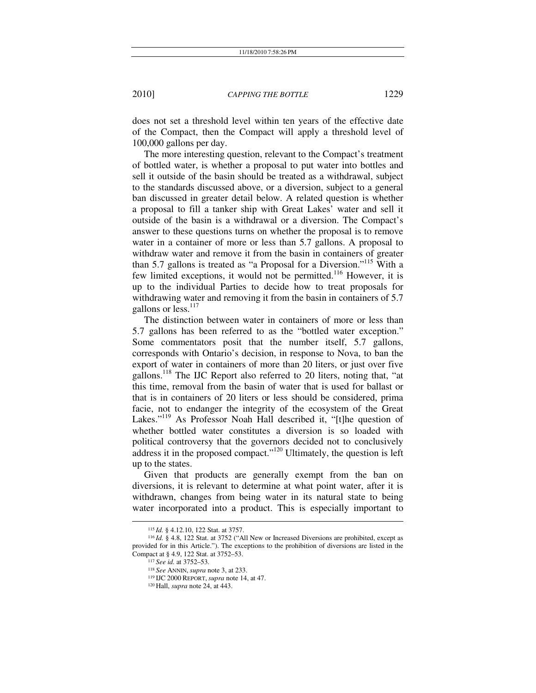does not set a threshold level within ten years of the effective date of the Compact, then the Compact will apply a threshold level of 100,000 gallons per day.

The more interesting question, relevant to the Compact's treatment of bottled water, is whether a proposal to put water into bottles and sell it outside of the basin should be treated as a withdrawal, subject to the standards discussed above, or a diversion, subject to a general ban discussed in greater detail below. A related question is whether a proposal to fill a tanker ship with Great Lakes' water and sell it outside of the basin is a withdrawal or a diversion. The Compact's answer to these questions turns on whether the proposal is to remove water in a container of more or less than 5.7 gallons. A proposal to withdraw water and remove it from the basin in containers of greater than 5.7 gallons is treated as "a Proposal for a Diversion."115 With a few limited exceptions, it would not be permitted.<sup>116</sup> However, it is up to the individual Parties to decide how to treat proposals for withdrawing water and removing it from the basin in containers of 5.7 gallons or less.<sup>117</sup>

The distinction between water in containers of more or less than 5.7 gallons has been referred to as the "bottled water exception." Some commentators posit that the number itself, 5.7 gallons, corresponds with Ontario's decision, in response to Nova, to ban the export of water in containers of more than 20 liters, or just over five gallons.118 The IJC Report also referred to 20 liters, noting that, "at this time, removal from the basin of water that is used for ballast or that is in containers of 20 liters or less should be considered, prima facie, not to endanger the integrity of the ecosystem of the Great Lakes."<sup>119</sup> As Professor Noah Hall described it, "[t]he question of whether bottled water constitutes a diversion is so loaded with political controversy that the governors decided not to conclusively address it in the proposed compact."<sup>120</sup> Ultimately, the question is left up to the states.

Given that products are generally exempt from the ban on diversions, it is relevant to determine at what point water, after it is withdrawn, changes from being water in its natural state to being water incorporated into a product. This is especially important to

<sup>115</sup> *Id.* § 4.12.10, 122 Stat. at 3757. 116 *Id.* § 4.8, 122 Stat. at 3752 ("All New or Increased Diversions are prohibited, except as provided for in this Article."). The exceptions to the prohibition of diversions are listed in the Compact at § 4.9, 122 Stat. at 3752–53. 117 *See id.* at 3752–53. 118 *See* ANNIN, *supra* note 3, at 233. 119 IJC <sup>2000</sup> REPORT, *supra* note 14, at 47. 120 Hall, *supra* note 24, at 443.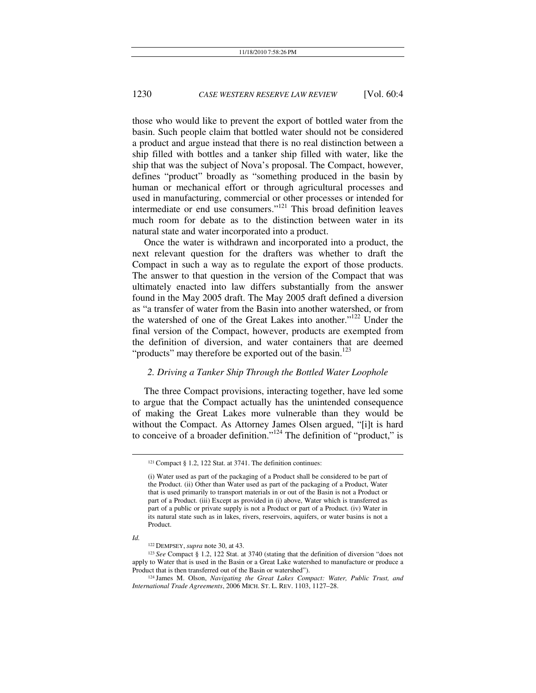those who would like to prevent the export of bottled water from the basin. Such people claim that bottled water should not be considered a product and argue instead that there is no real distinction between a ship filled with bottles and a tanker ship filled with water, like the ship that was the subject of Nova's proposal. The Compact, however, defines "product" broadly as "something produced in the basin by human or mechanical effort or through agricultural processes and used in manufacturing, commercial or other processes or intended for intermediate or end use consumers."121 This broad definition leaves much room for debate as to the distinction between water in its natural state and water incorporated into a product.

Once the water is withdrawn and incorporated into a product, the next relevant question for the drafters was whether to draft the Compact in such a way as to regulate the export of those products. The answer to that question in the version of the Compact that was ultimately enacted into law differs substantially from the answer found in the May 2005 draft. The May 2005 draft defined a diversion as "a transfer of water from the Basin into another watershed, or from the watershed of one of the Great Lakes into another."122 Under the final version of the Compact, however, products are exempted from the definition of diversion, and water containers that are deemed "products" may therefore be exported out of the basin.<sup>123</sup>

#### *2. Driving a Tanker Ship Through the Bottled Water Loophole*

The three Compact provisions, interacting together, have led some to argue that the Compact actually has the unintended consequence of making the Great Lakes more vulnerable than they would be without the Compact. As Attorney James Olsen argued, "[i]t is hard to conceive of a broader definition."124 The definition of "product," is

*Id.* 

 <sup>121</sup> Compact § 1.2, 122 Stat. at 3741. The definition continues:

<sup>(</sup>i) Water used as part of the packaging of a Product shall be considered to be part of the Product. (ii) Other than Water used as part of the packaging of a Product, Water that is used primarily to transport materials in or out of the Basin is not a Product or part of a Product. (iii) Except as provided in (i) above, Water which is transferred as part of a public or private supply is not a Product or part of a Product. (iv) Water in its natural state such as in lakes, rivers, reservoirs, aquifers, or water basins is not a Product.

<sup>122</sup> DEMPSEY, *supra* note 30, at 43. 123 *See* Compact § 1.2, 122 Stat. at 3740 (stating that the definition of diversion "does not apply to Water that is used in the Basin or a Great Lake watershed to manufacture or produce a Product that is then transferred out of the Basin or watershed"). 124 James M. Olson, *Navigating the Great Lakes Compact: Water, Public Trust, and* 

*International Trade Agreements*, 2006 MICH. ST. L. REV. 1103, 1127–28.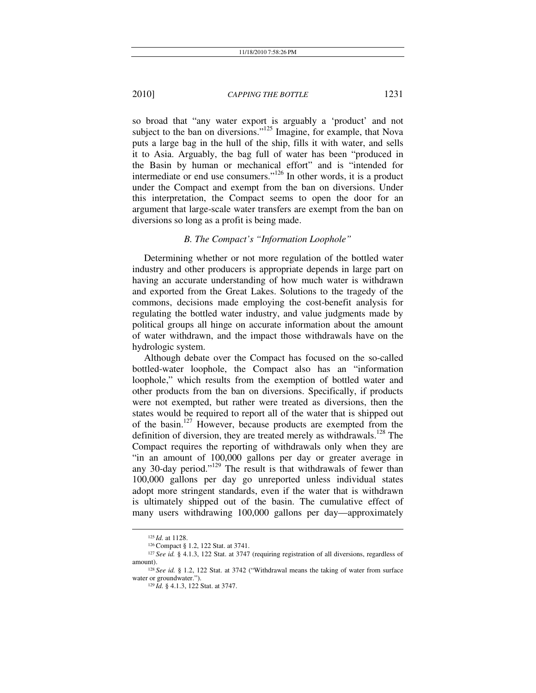so broad that "any water export is arguably a 'product' and not subject to the ban on diversions."<sup>125</sup> Imagine, for example, that Nova puts a large bag in the hull of the ship, fills it with water, and sells it to Asia. Arguably, the bag full of water has been "produced in the Basin by human or mechanical effort" and is "intended for intermediate or end use consumers."<sup>126</sup> In other words, it is a product under the Compact and exempt from the ban on diversions. Under this interpretation, the Compact seems to open the door for an argument that large-scale water transfers are exempt from the ban on diversions so long as a profit is being made.

#### *B. The Compact's "Information Loophole"*

Determining whether or not more regulation of the bottled water industry and other producers is appropriate depends in large part on having an accurate understanding of how much water is withdrawn and exported from the Great Lakes. Solutions to the tragedy of the commons, decisions made employing the cost-benefit analysis for regulating the bottled water industry, and value judgments made by political groups all hinge on accurate information about the amount of water withdrawn, and the impact those withdrawals have on the hydrologic system.

Although debate over the Compact has focused on the so-called bottled-water loophole, the Compact also has an "information loophole," which results from the exemption of bottled water and other products from the ban on diversions. Specifically, if products were not exempted, but rather were treated as diversions, then the states would be required to report all of the water that is shipped out of the basin.<sup>127</sup> However, because products are exempted from the definition of diversion, they are treated merely as withdrawals.<sup>128</sup> The Compact requires the reporting of withdrawals only when they are "in an amount of 100,000 gallons per day or greater average in any 30-day period."129 The result is that withdrawals of fewer than 100,000 gallons per day go unreported unless individual states adopt more stringent standards, even if the water that is withdrawn is ultimately shipped out of the basin. The cumulative effect of many users withdrawing 100,000 gallons per day—approximately

<sup>&</sup>lt;sup>125</sup> Id. at 1128.<br><sup>126</sup> Compact § 1.2, 122 Stat. at 3741.<br><sup>127</sup> See id. § 4.1.3, 122 Stat. at 3747 (requiring registration of all diversions, regardless of

amount).<br><sup>128</sup> See id. § 1.2, 122 Stat. at 3742 ("Withdrawal means the taking of water from surface water or groundwater.").

<sup>&</sup>lt;sup>129</sup> Id. § 4.1.3, 122 Stat. at 3747.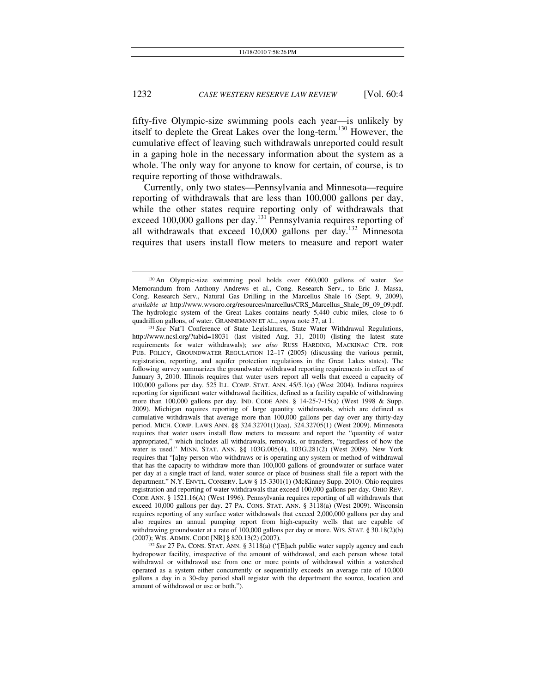fifty-five Olympic-size swimming pools each year—is unlikely by itself to deplete the Great Lakes over the long-term.130 However, the cumulative effect of leaving such withdrawals unreported could result in a gaping hole in the necessary information about the system as a whole. The only way for anyone to know for certain, of course, is to require reporting of those withdrawals.

Currently, only two states—Pennsylvania and Minnesota—require reporting of withdrawals that are less than 100,000 gallons per day, while the other states require reporting only of withdrawals that exceed 100,000 gallons per day.<sup>131</sup> Pennsylvania requires reporting of all withdrawals that exceed 10,000 gallons per day.132 Minnesota requires that users install flow meters to measure and report water

 <sup>130</sup> An Olympic-size swimming pool holds over 660,000 gallons of water. *See*  Memorandum from Anthony Andrews et al., Cong. Research Serv., to Eric J. Massa, Cong. Research Serv., Natural Gas Drilling in the Marcellus Shale 16 (Sept. 9, 2009), *available at* http://www.wvsoro.org/resources/marcellus/CRS\_Marcellus\_Shale\_09\_09\_09.pdf. The hydrologic system of the Great Lakes contains nearly 5,440 cubic miles, close to 6 quadrillion gallons, of water. GRANNEMANN ET AL., *supra* note 37, at 1.

<sup>131</sup> *See* Nat'l Conference of State Legislatures, State Water Withdrawal Regulations, http://www.ncsl.org/?tabid=18031 (last visited Aug. 31, 2010) (listing the latest state requirements for water withdrawals); *see also* RUSS HARDING, MACKINAC CTR. FOR PUB. POLICY, GROUNDWATER REGULATION 12–17 (2005) (discussing the various permit, registration, reporting, and aquifer protection regulations in the Great Lakes states). The following survey summarizes the groundwater withdrawal reporting requirements in effect as of January 3, 2010. Illinois requires that water users report all wells that exceed a capacity of 100,000 gallons per day. 525 ILL. COMP. STAT. ANN. 45/5.1(a) (West 2004). Indiana requires reporting for significant water withdrawal facilities, defined as a facility capable of withdrawing more than 100,000 gallons per day. IND. CODE ANN. § 14-25-7-15(a) (West 1998 & Supp. 2009). Michigan requires reporting of large quantity withdrawals, which are defined as cumulative withdrawals that average more than 100,000 gallons per day over any thirty-day period. MICH. COMP. LAWS ANN. §§ 324.32701(1)(aa), 324.32705(1) (West 2009). Minnesota requires that water users install flow meters to measure and report the "quantity of water appropriated," which includes all withdrawals, removals, or transfers, "regardless of how the water is used." MINN. STAT. ANN. §§ 103G.005(4), 103G.281(2) (West 2009). New York requires that "[a]ny person who withdraws or is operating any system or method of withdrawal that has the capacity to withdraw more than 100,000 gallons of groundwater or surface water per day at a single tract of land, water source or place of business shall file a report with the department." N.Y. ENVTL. CONSERV. LAW § 15-3301(1) (McKinney Supp. 2010). Ohio requires registration and reporting of water withdrawals that exceed 100,000 gallons per day. OHIO REV. CODE ANN. § 1521.16(A) (West 1996). Pennsylvania requires reporting of all withdrawals that exceed 10,000 gallons per day. 27 PA. CONS. STAT. ANN. § 3118(a) (West 2009). Wisconsin requires reporting of any surface water withdrawals that exceed 2,000,000 gallons per day and also requires an annual pumping report from high-capacity wells that are capable of withdrawing groundwater at a rate of 100,000 gallons per day or more. WIS. STAT. § 30.18(2)(b) (2007); WIS. ADMIN. CODE [NR] § 820.13(2) (2007).

<sup>&</sup>lt;sup>132</sup> See 27 PA. CONS. STAT. ANN. § 3118(a) ("[E]ach public water supply agency and each hydropower facility, irrespective of the amount of withdrawal, and each person whose total withdrawal or withdrawal use from one or more points of withdrawal within a watershed operated as a system either concurrently or sequentially exceeds an average rate of 10,000 gallons a day in a 30-day period shall register with the department the source, location and amount of withdrawal or use or both.").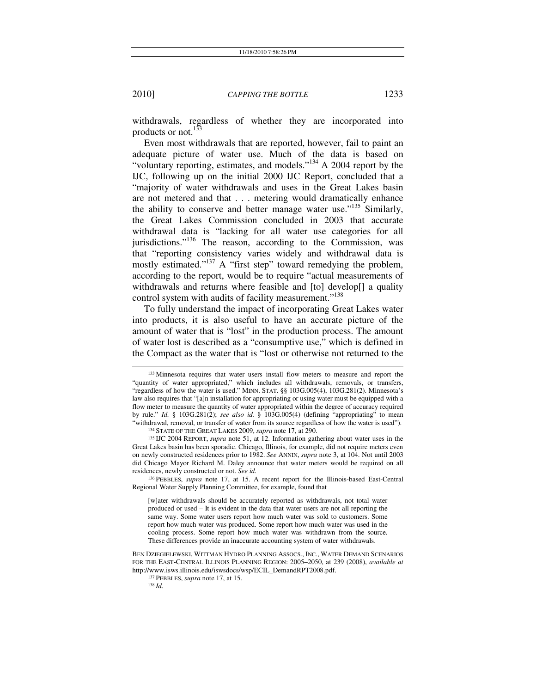withdrawals, regardless of whether they are incorporated into products or not.<sup>133</sup>

Even most withdrawals that are reported, however, fail to paint an adequate picture of water use. Much of the data is based on "voluntary reporting, estimates, and models."<sup>134</sup> A 2004 report by the IJC, following up on the initial 2000 IJC Report, concluded that a "majority of water withdrawals and uses in the Great Lakes basin are not metered and that . . . metering would dramatically enhance the ability to conserve and better manage water use."<sup>135</sup> Similarly, the Great Lakes Commission concluded in 2003 that accurate withdrawal data is "lacking for all water use categories for all jurisdictions."<sup>136</sup> The reason, according to the Commission, was that "reporting consistency varies widely and withdrawal data is mostly estimated."<sup>137</sup> A "first step" toward remedying the problem, according to the report, would be to require "actual measurements of withdrawals and returns where feasible and [to] develop[] a quality control system with audits of facility measurement."<sup>138</sup>

To fully understand the impact of incorporating Great Lakes water into products, it is also useful to have an accurate picture of the amount of water that is "lost" in the production process. The amount of water lost is described as a "consumptive use," which is defined in the Compact as the water that is "lost or otherwise not returned to the

Regional Water Supply Planning Committee, for example, found that

 <sup>133</sup> Minnesota requires that water users install flow meters to measure and report the "quantity of water appropriated," which includes all withdrawals, removals, or transfers, "regardless of how the water is used." MINN. STAT. §§ 103G.005(4), 103G.281(2). Minnesota's law also requires that "[a]n installation for appropriating or using water must be equipped with a flow meter to measure the quantity of water appropriated within the degree of accuracy required by rule." *Id.* § 103G.281(2); *see also id.* § 103G.005(4) (defining "appropriating" to mean "withdrawal, removal, or transfer of water from its source regardless of how the water is used").

<sup>&</sup>lt;sup>134</sup> STATE OF THE GREAT LAKES 2009, *supra* note 17, at 290.<br><sup>135</sup> IJC 2004 REPORT, *supra* note 51, at 12. Information gathering about water uses in the Great Lakes basin has been sporadic. Chicago, Illinois, for example, did not require meters even on newly constructed residences prior to 1982. *See* ANNIN, *supra* note 3, at 104. Not until 2003 did Chicago Mayor Richard M. Daley announce that water meters would be required on all residences, newly constructed or not. See id.<br><sup>136</sup> PEBBLES, *supra* note 17, at 15. A recent report for the Illinois-based East-Central

<sup>[</sup>w]ater withdrawals should be accurately reported as withdrawals, not total water produced or used – It is evident in the data that water users are not all reporting the same way. Some water users report how much water was sold to customers. Some report how much water was produced. Some report how much water was used in the cooling process. Some report how much water was withdrawn from the source. These differences provide an inaccurate accounting system of water withdrawals.

BEN DZIEGIELEWSKI, WITTMAN HYDRO PLANNING ASSOCS., INC., WATER DEMAND SCENARIOS FOR THE EAST-CENTRAL ILLINOIS PLANNING REGION: 2005–2050, at 239 (2008), *available at* http://www.isws.illinois.edu/iswsdocs/wsp/ECIL\_DemandRPT2008.pdf. 137 PEBBLES, *supra* note 17, at 15. 138 *Id.*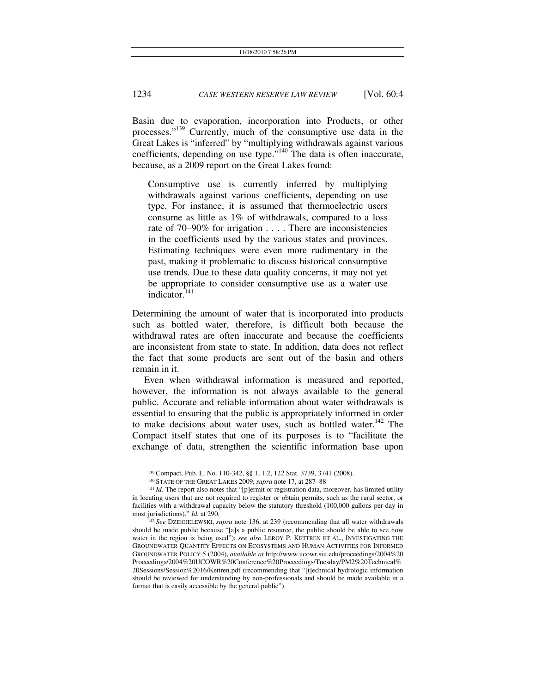Basin due to evaporation, incorporation into Products, or other processes."139 Currently, much of the consumptive use data in the Great Lakes is "inferred" by "multiplying withdrawals against various coefficients, depending on use type."140 The data is often inaccurate, because, as a 2009 report on the Great Lakes found:

Consumptive use is currently inferred by multiplying withdrawals against various coefficients, depending on use type. For instance, it is assumed that thermoelectric users consume as little as 1% of withdrawals, compared to a loss rate of 70–90% for irrigation . . . . There are inconsistencies in the coefficients used by the various states and provinces. Estimating techniques were even more rudimentary in the past, making it problematic to discuss historical consumptive use trends. Due to these data quality concerns, it may not yet be appropriate to consider consumptive use as a water use indicator. $141$ 

Determining the amount of water that is incorporated into products such as bottled water, therefore, is difficult both because the withdrawal rates are often inaccurate and because the coefficients are inconsistent from state to state. In addition, data does not reflect the fact that some products are sent out of the basin and others remain in it.

Even when withdrawal information is measured and reported, however, the information is not always available to the general public. Accurate and reliable information about water withdrawals is essential to ensuring that the public is appropriately informed in order to make decisions about water uses, such as bottled water.<sup>142</sup> The Compact itself states that one of its purposes is to "facilitate the exchange of data, strengthen the scientific information base upon

<sup>&</sup>lt;sup>139</sup> Compact, Pub. L. No. 110-342, §§ 1, 1.2, 122 Stat. 3739, 3741 (2008).<br><sup>140</sup> STATE OF THE GREAT LAKES 2009, *supra* note 17, at 287–88<br><sup>141</sup> *Id*. The report also notes that "[p]ermit or registration data, moreover,

in locating users that are not required to register or obtain permits, such as the rural sector, or facilities with a withdrawal capacity below the statutory threshold (100,000 gallons per day in most jurisdictions)." *Id.* at 290.

<sup>142</sup> See DZIEGIELEWSKI, *supra* note 136, at 239 (recommending that all water withdrawals should be made public because "[a]s a public resource, the public should be able to see how water in the region is being used"); *see also* LEROY P. KETTREN ET AL., INVESTIGATING THE GROUNDWATER QUANTITY EFFECTS ON ECOSYSTEMS AND HUMAN ACTIVITIES FOR INFORMED GROUNDWATER POLICY 5 (2004), *available at* http://www.ucowr.siu.edu/proceedings/2004%20 Proceedings/2004%20UCOWR%20Conference%20Proceedings/Tuesday/PM2%20Technical% 20Sessions/Session%2016/Kettren.pdf (recommending that "[t]echnical hydrologic information should be reviewed for understanding by non-professionals and should be made available in a format that is easily accessible by the general public").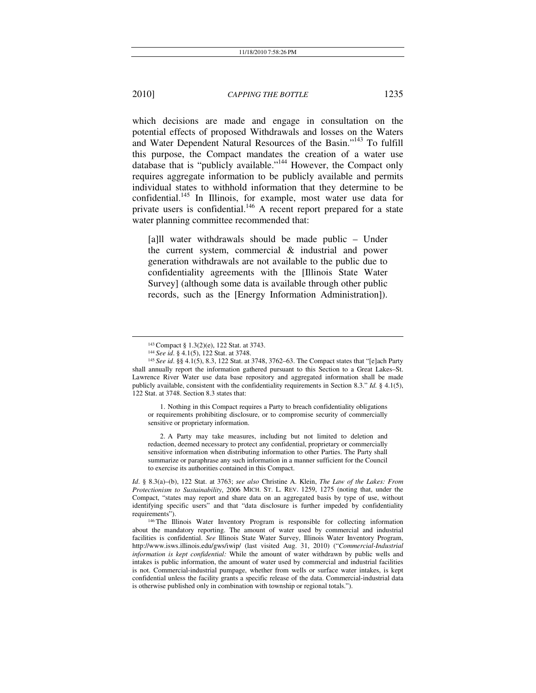which decisions are made and engage in consultation on the potential effects of proposed Withdrawals and losses on the Waters and Water Dependent Natural Resources of the Basin."143 To fulfill this purpose, the Compact mandates the creation of a water use database that is "publicly available."<sup>144</sup> However, the Compact only requires aggregate information to be publicly available and permits individual states to withhold information that they determine to be confidential.<sup>145</sup> In Illinois, for example, most water use data for private users is confidential.<sup>146</sup> A recent report prepared for a state water planning committee recommended that:

[a]ll water withdrawals should be made public – Under the current system, commercial & industrial and power generation withdrawals are not available to the public due to confidentiality agreements with the [Illinois State Water Survey] (although some data is available through other public records, such as the [Energy Information Administration]).

1. Nothing in this Compact requires a Party to breach confidentiality obligations or requirements prohibiting disclosure, or to compromise security of commercially sensitive or proprietary information.

2. A Party may take measures, including but not limited to deletion and redaction, deemed necessary to protect any confidential, proprietary or commercially sensitive information when distributing information to other Parties. The Party shall summarize or paraphrase any such information in a manner sufficient for the Council to exercise its authorities contained in this Compact.

*Id*. § 8.3(a)–(b), 122 Stat. at 3763; *see also* Christine A. Klein, *The Law of the Lakes: From Protectionism to Sustainability*, 2006 MICH. ST. L. REV. 1259, 1275 (noting that, under the Compact, "states may report and share data on an aggregated basis by type of use, without identifying specific users" and that "data disclosure is further impeded by confidentiality requirements"). 146 The Illinois Water Inventory Program is responsible for collecting information

about the mandatory reporting. The amount of water used by commercial and industrial facilities is confidential. *See* Illinois State Water Survey, Illinois Water Inventory Program, http://www.isws.illinois.edu/gws/iwip/ (last visited Aug. 31, 2010) ("*Commercial-Industrial information is kept confidential:* While the amount of water withdrawn by public wells and intakes is public information, the amount of water used by commercial and industrial facilities is not. Commercial-industrial pumpage, whether from wells or surface water intakes, is kept confidential unless the facility grants a specific release of the data. Commercial-industrial data is otherwise published only in combination with township or regional totals.").

<sup>1&</sup>lt;sup>43</sup> Compact § 1.3(2)(e), 122 Stat. at 3743.<br><sup>144</sup> See id. § 4.1(5), 122 Stat. at 3748.<br><sup>145</sup> See id. §§ 4.1(5), 8.3, 122 Stat. at 3748, 3762–63. The Compact states that "[e]ach Party shall annually report the information gathered pursuant to this Section to a Great Lakes–St. Lawrence River Water use data base repository and aggregated information shall be made publicly available, consistent with the confidentiality requirements in Section 8.3." *Id.* § 4.1(5), 122 Stat. at 3748. Section 8.3 states that: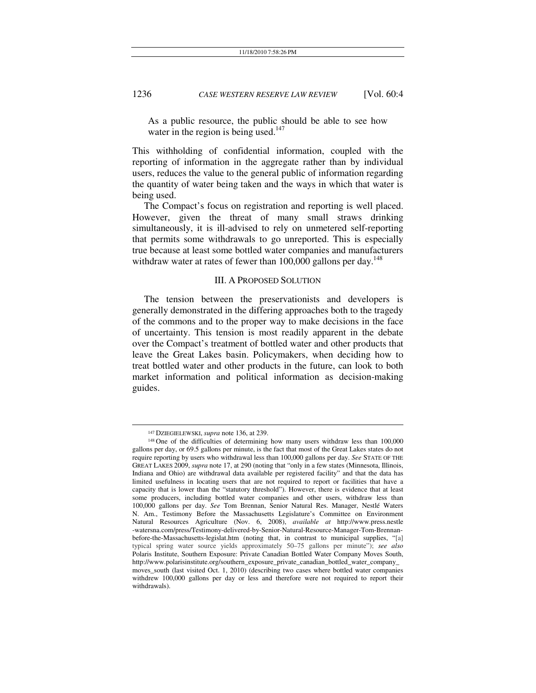As a public resource, the public should be able to see how water in the region is being used.<sup>147</sup>

This withholding of confidential information, coupled with the reporting of information in the aggregate rather than by individual users, reduces the value to the general public of information regarding the quantity of water being taken and the ways in which that water is being used.

The Compact's focus on registration and reporting is well placed. However, given the threat of many small straws drinking simultaneously, it is ill-advised to rely on unmetered self-reporting that permits some withdrawals to go unreported. This is especially true because at least some bottled water companies and manufacturers withdraw water at rates of fewer than 100,000 gallons per day.<sup>148</sup>

#### III. A PROPOSED SOLUTION

The tension between the preservationists and developers is generally demonstrated in the differing approaches both to the tragedy of the commons and to the proper way to make decisions in the face of uncertainty. This tension is most readily apparent in the debate over the Compact's treatment of bottled water and other products that leave the Great Lakes basin. Policymakers, when deciding how to treat bottled water and other products in the future, can look to both market information and political information as decision-making guides.

<sup>&</sup>lt;sup>147</sup> DZIEGIELEWSKI, *supra* note 136, at 239.<br><sup>148</sup> One of the difficulties of determining how many users withdraw less than 100,000 gallons per day, or 69.5 gallons per minute, is the fact that most of the Great Lakes states do not require reporting by users who withdrawal less than 100,000 gallons per day. *See* STATE OF THE GREAT LAKES 2009, *supra* note 17, at 290 (noting that "only in a few states (Minnesota, Illinois, Indiana and Ohio) are withdrawal data available per registered facility" and that the data has limited usefulness in locating users that are not required to report or facilities that have a capacity that is lower than the "statutory threshold"). However, there is evidence that at least some producers, including bottled water companies and other users, withdraw less than 100,000 gallons per day. *See* Tom Brennan, Senior Natural Res. Manager, Nestlé Waters N. Am., Testimony Before the Massachusetts Legislature's Committee on Environment Natural Resources Agriculture (Nov. 6, 2008), *available at* http://www.press.nestle -watersna.com/press/Testimony-delivered-by-Senior-Natural-Resource-Manager-Tom-Brennanbefore-the-Massachusetts-legislat.htm (noting that, in contrast to municipal supplies, "[a] typical spring water source yields approximately 50–75 gallons per minute"); *see also* Polaris Institute, Southern Exposure: Private Canadian Bottled Water Company Moves South, http://www.polarisinstitute.org/southern\_exposure\_private\_canadian\_bottled\_water\_company\_ moves\_south (last visited Oct. 1, 2010) (describing two cases where bottled water companies withdrew 100,000 gallons per day or less and therefore were not required to report their withdrawals).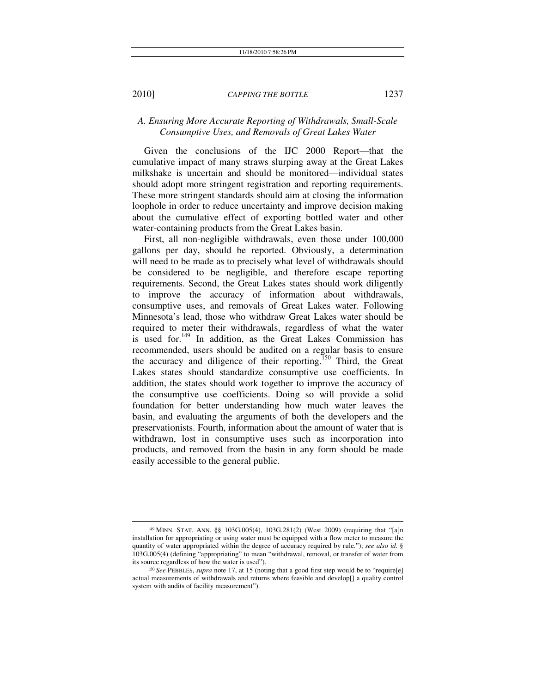## *A. Ensuring More Accurate Reporting of Withdrawals, Small-Scale Consumptive Uses, and Removals of Great Lakes Water*

Given the conclusions of the IJC 2000 Report—that the cumulative impact of many straws slurping away at the Great Lakes milkshake is uncertain and should be monitored—individual states should adopt more stringent registration and reporting requirements. These more stringent standards should aim at closing the information loophole in order to reduce uncertainty and improve decision making about the cumulative effect of exporting bottled water and other water-containing products from the Great Lakes basin.

First, all non-negligible withdrawals, even those under 100,000 gallons per day, should be reported. Obviously, a determination will need to be made as to precisely what level of withdrawals should be considered to be negligible, and therefore escape reporting requirements. Second, the Great Lakes states should work diligently to improve the accuracy of information about withdrawals, consumptive uses, and removals of Great Lakes water. Following Minnesota's lead, those who withdraw Great Lakes water should be required to meter their withdrawals, regardless of what the water is used for.<sup>149</sup> In addition, as the Great Lakes Commission has recommended, users should be audited on a regular basis to ensure the accuracy and diligence of their reporting.<sup>150</sup> Third, the Great Lakes states should standardize consumptive use coefficients. In addition, the states should work together to improve the accuracy of the consumptive use coefficients. Doing so will provide a solid foundation for better understanding how much water leaves the basin, and evaluating the arguments of both the developers and the preservationists. Fourth, information about the amount of water that is withdrawn, lost in consumptive uses such as incorporation into products, and removed from the basin in any form should be made easily accessible to the general public.

 <sup>149</sup> MINN. STAT. ANN. §§ 103G.005(4), 103G.281(2) (West 2009) (requiring that "[a]n installation for appropriating or using water must be equipped with a flow meter to measure the quantity of water appropriated within the degree of accuracy required by rule."); *see also id.* § 103G.005(4) (defining "appropriating" to mean "withdrawal, removal, or transfer of water from its source regardless of how the water is used"). 150 *See* PEBBLES, *supra* note 17, at 15 (noting that a good first step would be to "require[e]

actual measurements of withdrawals and returns where feasible and develop[] a quality control system with audits of facility measurement").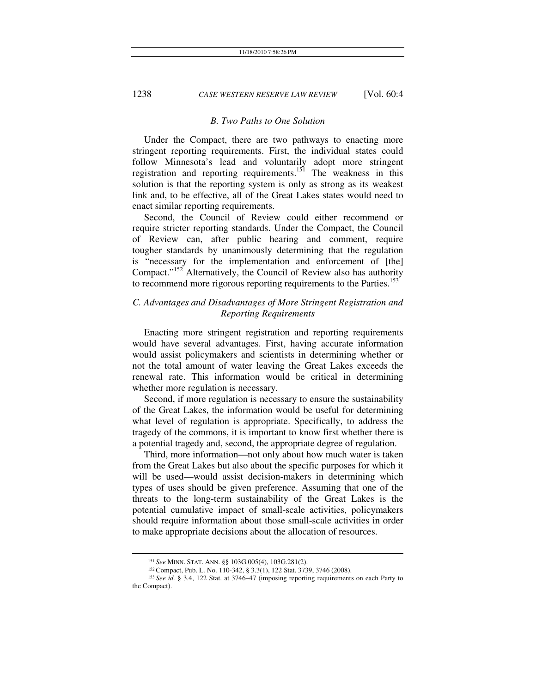#### *B. Two Paths to One Solution*

Under the Compact, there are two pathways to enacting more stringent reporting requirements. First, the individual states could follow Minnesota's lead and voluntarily adopt more stringent registration and reporting requirements.<sup>151</sup> The weakness in this solution is that the reporting system is only as strong as its weakest link and, to be effective, all of the Great Lakes states would need to enact similar reporting requirements.

Second, the Council of Review could either recommend or require stricter reporting standards. Under the Compact, the Council of Review can, after public hearing and comment, require tougher standards by unanimously determining that the regulation is "necessary for the implementation and enforcement of [the] Compact."<sup>152</sup> Alternatively, the Council of Review also has authority to recommend more rigorous reporting requirements to the Parties.<sup>153</sup>

## *C. Advantages and Disadvantages of More Stringent Registration and Reporting Requirements*

Enacting more stringent registration and reporting requirements would have several advantages. First, having accurate information would assist policymakers and scientists in determining whether or not the total amount of water leaving the Great Lakes exceeds the renewal rate. This information would be critical in determining whether more regulation is necessary.

Second, if more regulation is necessary to ensure the sustainability of the Great Lakes, the information would be useful for determining what level of regulation is appropriate. Specifically, to address the tragedy of the commons, it is important to know first whether there is a potential tragedy and, second, the appropriate degree of regulation.

Third, more information—not only about how much water is taken from the Great Lakes but also about the specific purposes for which it will be used—would assist decision-makers in determining which types of uses should be given preference. Assuming that one of the threats to the long-term sustainability of the Great Lakes is the potential cumulative impact of small-scale activities, policymakers should require information about those small-scale activities in order to make appropriate decisions about the allocation of resources.

<sup>&</sup>lt;sup>151</sup> See MINN. STAT. ANN. §§ 103G.005(4), 103G.281(2).<br><sup>152</sup> Compact, Pub. L. No. 110-342, § 3.3(1), 122 Stat. 3739, 3746 (2008).<br><sup>153</sup> See id. § 3.4, 122 Stat. at 3746–47 (imposing reporting requirements on each Party to the Compact).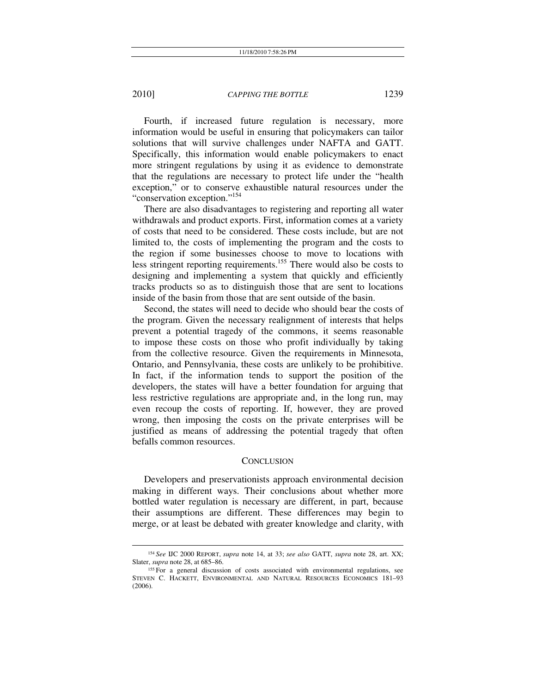Fourth, if increased future regulation is necessary, more information would be useful in ensuring that policymakers can tailor solutions that will survive challenges under NAFTA and GATT. Specifically, this information would enable policymakers to enact more stringent regulations by using it as evidence to demonstrate that the regulations are necessary to protect life under the "health exception," or to conserve exhaustible natural resources under the "conservation exception."154

There are also disadvantages to registering and reporting all water withdrawals and product exports. First, information comes at a variety of costs that need to be considered. These costs include, but are not limited to, the costs of implementing the program and the costs to the region if some businesses choose to move to locations with less stringent reporting requirements.<sup>155</sup> There would also be costs to designing and implementing a system that quickly and efficiently tracks products so as to distinguish those that are sent to locations inside of the basin from those that are sent outside of the basin.

Second, the states will need to decide who should bear the costs of the program. Given the necessary realignment of interests that helps prevent a potential tragedy of the commons, it seems reasonable to impose these costs on those who profit individually by taking from the collective resource. Given the requirements in Minnesota, Ontario, and Pennsylvania, these costs are unlikely to be prohibitive. In fact, if the information tends to support the position of the developers, the states will have a better foundation for arguing that less restrictive regulations are appropriate and, in the long run, may even recoup the costs of reporting. If, however, they are proved wrong, then imposing the costs on the private enterprises will be justified as means of addressing the potential tragedy that often befalls common resources.

#### **CONCLUSION**

Developers and preservationists approach environmental decision making in different ways. Their conclusions about whether more bottled water regulation is necessary are different, in part, because their assumptions are different. These differences may begin to merge, or at least be debated with greater knowledge and clarity, with

 <sup>154</sup> *See* IJC <sup>2000</sup> REPORT, *supra* note 14, at 33; *see also* GATT, *supra* note 28, art. XX; Slater, *supra* note 28, at 685–86.<br><sup>155</sup> For a general discussion of costs associated with environmental regulations, see

STEVEN C. HACKETT, ENVIRONMENTAL AND NATURAL RESOURCES ECONOMICS 181–93 (2006).